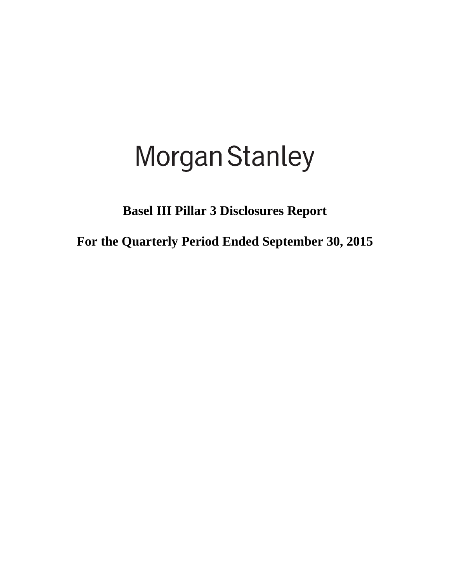# **Morgan Stanley**

**Basel III Pillar 3 Disclosures Report**

**For the Quarterly Period Ended September 30, 2015**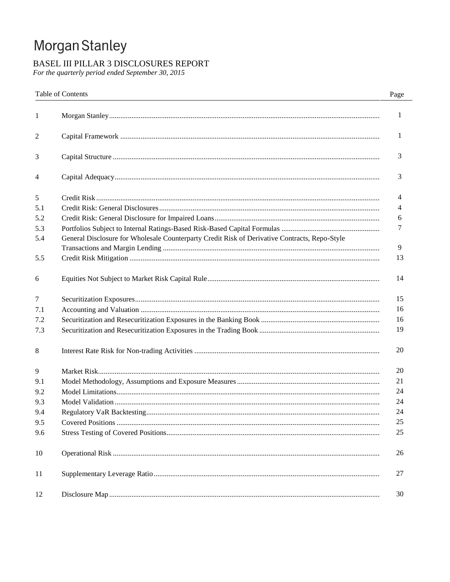# Morgan Stanley

# BASEL III PILLAR 3 DISCLOSURES REPORT

For the quarterly period ended September 30, 2015

|     | Table of Contents                                                                             | Page |
|-----|-----------------------------------------------------------------------------------------------|------|
| 1   |                                                                                               | 1    |
| 2   |                                                                                               | 1    |
| 3   |                                                                                               | 3    |
| 4   |                                                                                               | 3    |
| 5   |                                                                                               | 4    |
| 5.1 |                                                                                               | 4    |
| 5.2 |                                                                                               | 6    |
| 5.3 |                                                                                               | 7    |
| 5.4 | General Disclosure for Wholesale Counterparty Credit Risk of Derivative Contracts, Repo-Style |      |
|     |                                                                                               | 9    |
| 5.5 |                                                                                               | 13   |
| 6   |                                                                                               | 14   |
| 7   |                                                                                               | 15   |
| 7.1 |                                                                                               | 16   |
| 7.2 |                                                                                               | 16   |
| 7.3 |                                                                                               | 19   |
| 8   |                                                                                               | 20   |
| 9   |                                                                                               | 20   |
| 9.1 |                                                                                               | 21   |
| 9.2 |                                                                                               | 24   |
| 9.3 |                                                                                               | 24   |
| 9.4 |                                                                                               | 24   |
| 9.5 |                                                                                               | 25   |
| 9.6 |                                                                                               | 25   |
| 10  |                                                                                               | 26   |
| 11  |                                                                                               | 27   |
| 12  |                                                                                               | 30   |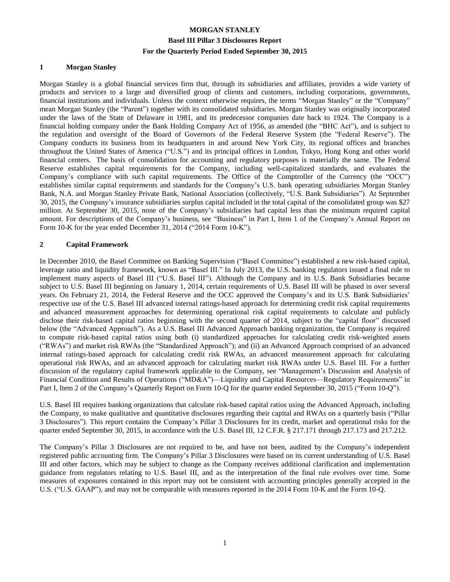#### **1 Morgan Stanley**

Morgan Stanley is a global financial services firm that, through its subsidiaries and affiliates, provides a wide variety of products and services to a large and diversified group of clients and customers, including corporations, governments, financial institutions and individuals. Unless the context otherwise requires, the terms "Morgan Stanley" or the "Company" mean Morgan Stanley (the "Parent") together with its consolidated subsidiaries. Morgan Stanley was originally incorporated under the laws of the State of Delaware in 1981, and its predecessor companies date back to 1924. The Company is a financial holding company under the Bank Holding Company Act of 1956, as amended (the "BHC Act"), and is subject to the regulation and oversight of the Board of Governors of the Federal Reserve System (the "Federal Reserve"). The Company conducts its business from its headquarters in and around New York City, its regional offices and branches throughout the United States of America ("U.S.") and its principal offices in London, Tokyo, Hong Kong and other world financial centers. The basis of consolidation for accounting and regulatory purposes is materially the same. The Federal Reserve establishes capital requirements for the Company, including well-capitalized standards, and evaluates the Company's compliance with such capital requirements. The Office of the Comptroller of the Currency (the "OCC") establishes similar capital requirements and standards for the Company's U.S. bank operating subsidiaries Morgan Stanley Bank, N.A. and Morgan Stanley Private Bank, National Association (collectively, "U.S. Bank Subsidiaries"). At September 30, 2015, the Company's insurance subsidiaries surplus capital included in the total capital of the consolidated group was \$27 million. At September 30, 2015, none of the Company's subsidiaries had capital less than the minimum required capital amount. For descriptions of the Company's business, see "Business" in Part I, Item 1 of the Company's Annual Report on Form 10-K for the year ended December 31, 2014 ("2014 Form 10-K").

#### **2 Capital Framework**

In December 2010, the Basel Committee on Banking Supervision ("Basel Committee") established a new risk-based capital, leverage ratio and liquidity framework, known as "Basel III." In July 2013, the U.S. banking regulators issued a final rule to implement many aspects of Basel III ("U.S. Basel III"). Although the Company and its U.S. Bank Subsidiaries became subject to U.S. Basel III beginning on January 1, 2014, certain requirements of U.S. Basel III will be phased in over several years. On February 21, 2014, the Federal Reserve and the OCC approved the Company's and its U.S. Bank Subsidiaries' respective use of the U.S. Basel III advanced internal ratings-based approach for determining credit risk capital requirements and advanced measurement approaches for determining operational risk capital requirements to calculate and publicly disclose their risk-based capital ratios beginning with the second quarter of 2014, subject to the "capital floor" discussed below (the "Advanced Approach"). As a U.S. Basel III Advanced Approach banking organization, the Company is required to compute risk-based capital ratios using both (i) standardized approaches for calculating credit risk-weighted assets ("RWAs") and market risk RWAs (the "Standardized Approach"); and (ii) an Advanced Approach comprised of an advanced internal ratings-based approach for calculating credit risk RWAs, an advanced measurement approach for calculating operational risk RWAs, and an advanced approach for calculating market risk RWAs under U.S. Basel III. For a further discussion of the regulatory capital framework applicable to the Company, see "Management's Discussion and Analysis of Financial Condition and Results of Operations ("MD&A")—Liquidity and Capital Resources—Regulatory Requirements" in Part I, Item 2 of the Company's Quarterly Report on Form 10-Q for the quarter ended September 30, 2015 ("Form 10-Q").

U.S. Basel III requires banking organizations that calculate risk-based capital ratios using the Advanced Approach, including the Company, to make qualitative and quantitative disclosures regarding their capital and RWAs on a quarterly basis ("Pillar 3 Disclosures"). This report contains the Company's Pillar 3 Disclosures for its credit, market and operational risks for the quarter ended September 30, 2015, in accordance with the U.S. Basel III, 12 C.F.R. § 217.171 through 217.173 and 217.212.

The Company's Pillar 3 Disclosures are not required to be, and have not been, audited by the Company's independent registered public accounting firm. The Company's Pillar 3 Disclosures were based on its current understanding of U.S. Basel III and other factors, which may be subject to change as the Company receives additional clarification and implementation guidance from regulators relating to U.S. Basel III, and as the interpretation of the final rule evolves over time. Some measures of exposures contained in this report may not be consistent with accounting principles generally accepted in the U.S. ("U.S. GAAP"), and may not be comparable with measures reported in the 2014 Form 10-K and the Form 10-Q.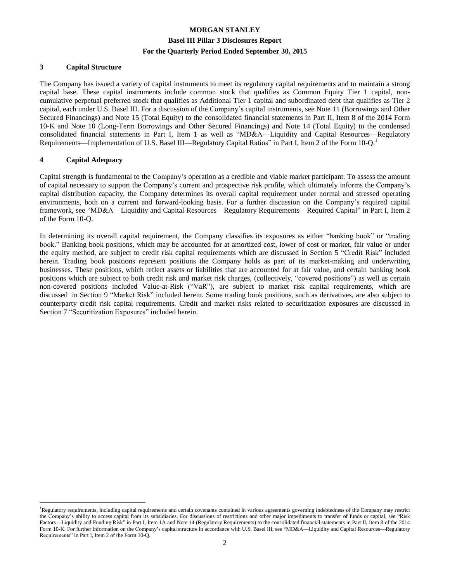#### **3 Capital Structure**

The Company has issued a variety of capital instruments to meet its regulatory capital requirements and to maintain a strong capital base. These capital instruments include common stock that qualifies as Common Equity Tier 1 capital, noncumulative perpetual preferred stock that qualifies as Additional Tier 1 capital and subordinated debt that qualifies as Tier 2 capital, each under U.S. Basel III. For a discussion of the Company's capital instruments, see Note 11 (Borrowings and Other Secured Financings) and Note 15 (Total Equity) to the consolidated financial statements in Part II, Item 8 of the 2014 Form 10-K and Note 10 (Long-Term Borrowings and Other Secured Financings) and Note 14 (Total Equity) to the condensed consolidated financial statements in Part I, Item 1 as well as "MD&A—Liquidity and Capital Resources—Regulatory Requirements—Implementation of U.S. Basel III—Regulatory Capital Ratios" in Part I, Item 2 of the Form 10-O.<sup>1</sup>

#### **4 Capital Adequacy**

 $\overline{a}$ 

Capital strength is fundamental to the Company's operation as a credible and viable market participant. To assess the amount of capital necessary to support the Company's current and prospective risk profile, which ultimately informs the Company's capital distribution capacity, the Company determines its overall capital requirement under normal and stressed operating environments, both on a current and forward-looking basis. For a further discussion on the Company's required capital framework, see "MD&A—Liquidity and Capital Resources—Regulatory Requirements—Required Capital" in Part I, Item 2 of the Form 10-Q.

In determining its overall capital requirement, the Company classifies its exposures as either "banking book" or "trading book." Banking book positions, which may be accounted for at amortized cost, lower of cost or market, fair value or under the equity method, are subject to credit risk capital requirements which are discussed in Section 5 "Credit Risk" included herein. Trading book positions represent positions the Company holds as part of its market-making and underwriting businesses. These positions, which reflect assets or liabilities that are accounted for at fair value, and certain banking book positions which are subject to both credit risk and market risk charges, (collectively, "covered positions") as well as certain non-covered positions included Value-at-Risk ("VaR"), are subject to market risk capital requirements, which are discussed in Section 9 "Market Risk" included herein. Some trading book positions, such as derivatives, are also subject to counterparty credit risk capital requirements. Credit and market risks related to securitization exposures are discussed in Section 7 "Securitization Exposures" included herein.

<sup>&</sup>lt;sup>1</sup>Regulatory requirements, including capital requirements and certain covenants contained in various agreements governing indebtedness of the Company may restrict the Company's ability to access capital from its subsidiaries. For discussions of restrictions and other major impediments to transfer of funds or capital, see "Risk Factors—Liquidity and Funding Risk" in Part I, Item 1A and Note 14 (Regulatory Requirements) to the consolidated financial statements in Part II, Item 8 of the 2014 Form 10-K. For further information on the Company's capital structure in accordance with U.S. Basel III, see "MD&A—Liquidity and Capital Resources—Regulatory Requirements" in Part I, Item 2 of the Form 10-Q.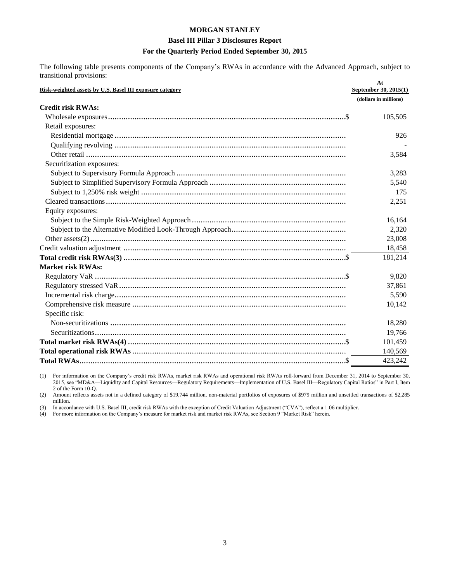#### **Basel III Pillar 3 Disclosures Report**

#### For the Quarterly Period Ended September 30, 2015

The following table presents components of the Company's RWAs in accordance with the Advanced Approach, subject to transitional provisions:

| Risk-weighted assets by U.S. Basel III exposure category | At<br>September 30, 2015(1) |
|----------------------------------------------------------|-----------------------------|
|                                                          | (dollars in millions)       |
| <b>Credit risk RWAs:</b>                                 |                             |
|                                                          | 105,505                     |
| Retail exposures:                                        |                             |
|                                                          | 926                         |
|                                                          |                             |
|                                                          | 3,584                       |
| Securitization exposures:                                |                             |
|                                                          | 3,283                       |
|                                                          | 5,540                       |
|                                                          | 175                         |
|                                                          | 2,251                       |
| Equity exposures:                                        |                             |
|                                                          | 16,164                      |
|                                                          | 2,320                       |
|                                                          | 23,008                      |
|                                                          | 18,458                      |
|                                                          | 181,214                     |
| <b>Market risk RWAs:</b>                                 |                             |
|                                                          | 9,820                       |
|                                                          | 37,861                      |
|                                                          | 5,590                       |
|                                                          | 10,142                      |
| Specific risk:                                           |                             |
|                                                          | 18,280                      |
|                                                          | 19.766                      |
|                                                          | 101,459                     |
|                                                          | 140,569                     |
|                                                          | 423,242                     |

For information on the Company's credit risk RWAs, market risk RWAs and operational risk RWAs roll-forward from December 31, 2014 to September 30,  $(1)$ 2015, see "MD&A-Liquidity and Capital Resources-Regulatory Requirements-Implementation of U.S. Basel III-Regulatory Capital Ratios" in Part I, Item 2 of the Form 10-Q.

Amount reflects assets not in a defined category of \$19,744 million, non-material portfolios of exposures of \$979 million and unsettled transactions of \$2,285  $(2)$ million.

In accordance with U.S. Basel III, credit risk RWAs with the exception of Credit Valuation Adjustment ("CVA"), reflect a 1.06 multiplier.<br>For more information on the Company's measure for market risk and market risk RWAs,  $(3)$ 

 $(4)$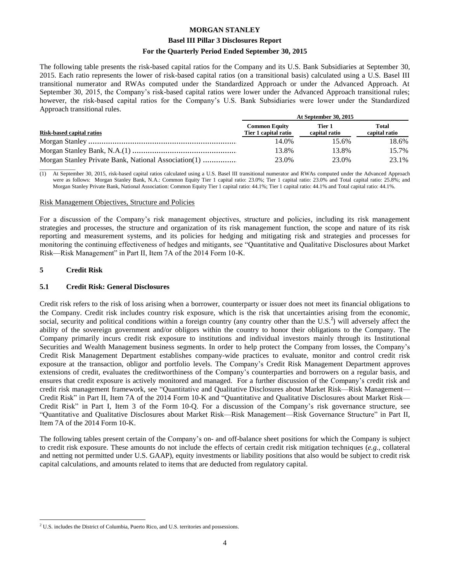#### **Basel III Pillar 3 Disclosures Report**

#### **For the Quarterly Period Ended September 30, 2015**

The following table presents the risk-based capital ratios for the Company and its U.S. Bank Subsidiaries at September 30, 2015. Each ratio represents the lower of risk-based capital ratios (on a transitional basis) calculated using a U.S. Basel III transitional numerator and RWAs computed under the Standardized Approach or under the Advanced Approach. At September 30, 2015, the Company's risk-based capital ratios were lower under the Advanced Approach transitional rules; however, the risk-based capital ratios for the Company's U.S. Bank Subsidiaries were lower under the Standardized Approach transitional rules.

|                                                      | At September 30, 2015                        |                         |                        |  |  |  |  |
|------------------------------------------------------|----------------------------------------------|-------------------------|------------------------|--|--|--|--|
| <b>Risk-based capital ratios</b>                     | <b>Common Equity</b><br>Tier 1 capital ratio | Tier 1<br>capital ratio | Total<br>capital ratio |  |  |  |  |
|                                                      | 14.0%                                        | 15.6%                   | 18.6%                  |  |  |  |  |
|                                                      | 13.8%                                        | 13.8%                   | 15.7%                  |  |  |  |  |
| Morgan Stanley Private Bank, National Association(1) | 23.0%                                        | 23.0%                   | 23.1%                  |  |  |  |  |
|                                                      |                                              |                         |                        |  |  |  |  |

(1) At September 30, 2015, risk-based capital ratios calculated using a U.S. Basel III transitional numerator and RWAs computed under the Advanced Approach were as follows: Morgan Stanley Bank, N.A.: Common Equity Tier 1 capital ratio: 23.0%; Tier 1 capital ratio: 23.0% and Total capital ratio: 25.8%; and Morgan Stanley Private Bank, National Association: Common Equity Tier 1 capital ratio: 44.1%; Tier 1 capital ratio: 44.1% and Total capital ratio: 44.1%.

#### Risk Management Objectives, Structure and Policies

For a discussion of the Company's risk management objectives, structure and policies, including its risk management strategies and processes, the structure and organization of its risk management function, the scope and nature of its risk reporting and measurement systems, and its policies for hedging and mitigating risk and strategies and processes for monitoring the continuing effectiveness of hedges and mitigants, see "Quantitative and Qualitative Disclosures about Market Risk—Risk Management" in Part II, Item 7A of the 2014 Form 10-K.

#### **5 Credit Risk**

#### **5.1 Credit Risk: General Disclosures**

Credit risk refers to the risk of loss arising when a borrower, counterparty or issuer does not meet its financial obligations to the Company. Credit risk includes country risk exposure, which is the risk that uncertainties arising from the economic, social, security and political conditions within a foreign country (any country other than the U.S.<sup>2</sup>) will adversely affect the ability of the sovereign government and/or obligors within the country to honor their obligations to the Company. The Company primarily incurs credit risk exposure to institutions and individual investors mainly through its Institutional Securities and Wealth Management business segments. In order to help protect the Company from losses, the Company's Credit Risk Management Department establishes company-wide practices to evaluate, monitor and control credit risk exposure at the transaction, obligor and portfolio levels. The Company's Credit Risk Management Department approves extensions of credit, evaluates the creditworthiness of the Company's counterparties and borrowers on a regular basis, and ensures that credit exposure is actively monitored and managed. For a further discussion of the Company's credit risk and credit risk management framework, see "Quantitative and Qualitative Disclosures about Market Risk—Risk Management— Credit Risk" in Part II, Item 7A of the 2014 Form 10-K and "Quantitative and Qualitative Disclosures about Market Risk— Credit Risk" in Part I, Item 3 of the Form 10-Q. For a discussion of the Company's risk governance structure, see "Quantitative and Qualitative Disclosures about Market Risk—Risk Management—Risk Governance Structure" in Part II, Item 7A of the 2014 Form 10-K.

The following tables present certain of the Company's on- and off-balance sheet positions for which the Company is subject to credit risk exposure. These amounts do not include the effects of certain credit risk mitigation techniques (*e.g.*, collateral and netting not permitted under U.S. GAAP), equity investments or liability positions that also would be subject to credit risk capital calculations, and amounts related to items that are deducted from regulatory capital.

 $\overline{a}$ <sup>2</sup> U.S. includes the District of Columbia, Puerto Rico, and U.S. territories and possessions.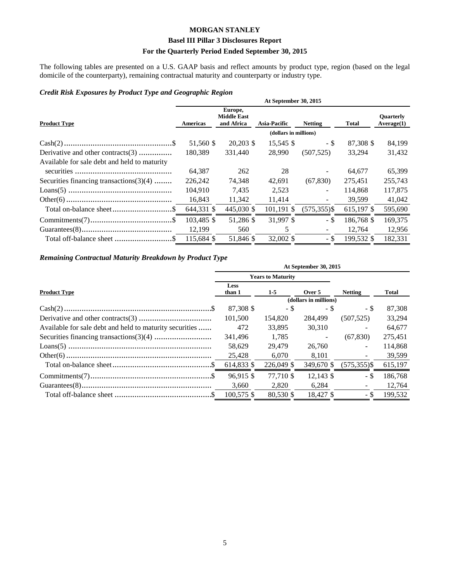#### **Basel III Pillar 3 Disclosures Report**

#### For the Quarterly Period Ended September 30, 2015

The following tables are presented on a U.S. GAAP basis and reflect amounts by product type, region (based on the legal domicile of the counterparty), remaining contractual maturity and counterparty or industry type.

#### Credit Risk Exposures by Product Type and Geographic Region

|                                              |            |                                             | At September 30, 2015 |                 |              |                                |
|----------------------------------------------|------------|---------------------------------------------|-----------------------|-----------------|--------------|--------------------------------|
| <b>Product Type</b>                          | Americas   | Europe,<br><b>Middle East</b><br>and Africa | <b>Asia-Pacific</b>   | <b>Netting</b>  | <b>Total</b> | <b>Ouarterly</b><br>Average(1) |
|                                              |            |                                             | (dollars in millions) |                 |              |                                |
|                                              | 51,560 \$  | 20,203 \$                                   | 15,545 \$             | $-$ \$          | 87,308 \$    | 84,199                         |
| Derivative and other contracts(3)            | 180,389    | 331,440                                     | 28,990                | (507, 525)      | 33,294       | 31,432                         |
| Available for sale debt and held to maturity |            |                                             |                       |                 |              |                                |
|                                              | 64,387     | 262                                         | 28                    |                 | 64.677       | 65,399                         |
| Securities financing transactions $(3)(4)$   | 226,242    | 74,348                                      | 42,691                | (67, 830)       | 275,451      | 255,743                        |
|                                              | 104,910    | 7,435                                       | 2,523                 |                 | 114,868      | 117,875                        |
|                                              | 16,843     | 11,342                                      | 11,414                |                 | 39,599       | 41,042                         |
|                                              | 644,331 \$ | 445,030 \$                                  | 101,191 \$            | $(575, 355)$ \$ | 615,197 \$   | 595,690                        |
|                                              | 103,485 \$ | 51,286 \$                                   | 31,997 \$             | - \$            | 186,768 \$   | 169,375                        |
|                                              | 12,199     | 560                                         | 5                     |                 | 12,764       | 12,956                         |
| Total off-balance sheet \$                   | 115,684 \$ | 51,846 \$                                   | 32,002 \$             | - \$            | 199,532 \$   | 182,331                        |

#### Remaining Contractual Maturity Breakdown by Product Type

|                                                         | At September 30, 2015 |                          |                       |                 |         |  |  |  |  |
|---------------------------------------------------------|-----------------------|--------------------------|-----------------------|-----------------|---------|--|--|--|--|
|                                                         |                       | <b>Years to Maturity</b> |                       |                 |         |  |  |  |  |
| <b>Product Type</b>                                     | <b>Less</b><br>than 1 | $1-5$                    | Over 5                | <b>Netting</b>  | Total   |  |  |  |  |
|                                                         |                       |                          | (dollars in millions) |                 |         |  |  |  |  |
|                                                         | 87,308 \$             | - \$                     | - \$                  | - \$            | 87,308  |  |  |  |  |
|                                                         | 101,500               | 154,820                  | 284.499               | (507, 525)      | 33,294  |  |  |  |  |
| Available for sale debt and held to maturity securities | 472                   | 33,895                   | 30,310                |                 | 64,677  |  |  |  |  |
|                                                         | 341,496               | 1,785                    |                       | (67, 830)       | 275,451 |  |  |  |  |
|                                                         | 58.629                | 29.479                   | 26,760                |                 | 114,868 |  |  |  |  |
|                                                         | 25,428                | 6,070                    | 8,101                 |                 | 39,599  |  |  |  |  |
|                                                         | 614,833 \$            | 226,049 \$               | 349,670 \$            | $(575, 355)$ \$ | 615,197 |  |  |  |  |
|                                                         | 96.915 \$             | 77.710 \$                | $12.143$ \$           | - \$            | 186,768 |  |  |  |  |
|                                                         | 3,660                 | 2.820                    | 6,284                 |                 | 12,764  |  |  |  |  |
|                                                         | $100.575$ \$          | 80.530 \$                | 18.427 \$             | - \$            | 199.532 |  |  |  |  |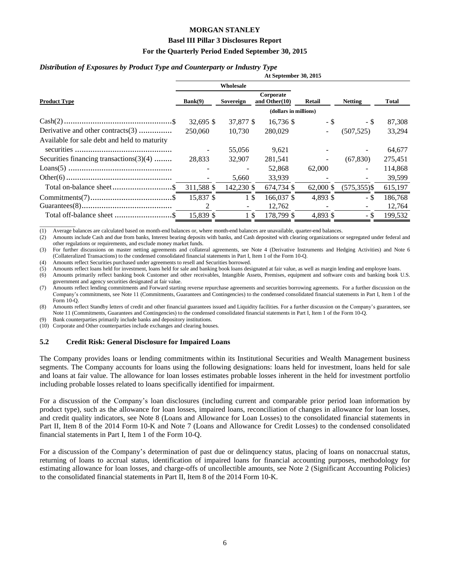#### **Basel III Pillar 3 Disclosures Report**

#### **For the Quarterly Period Ended September 30, 2015**

#### *Distribution of Exposures by Product Type and Counterparty or Industry Type*

|                                              | At September 30, 2015 |            |                               |           |                |         |  |  |  |
|----------------------------------------------|-----------------------|------------|-------------------------------|-----------|----------------|---------|--|--|--|
|                                              |                       | Wholesale  |                               |           |                |         |  |  |  |
| <b>Product Type</b>                          | Bank(9)<br>Sovereign  |            | Corporate<br>and Other $(10)$ | Retail    | <b>Netting</b> | Total   |  |  |  |
|                                              | (dollars in millions) |            |                               |           |                |         |  |  |  |
|                                              | $32,695$ \$           | 37,877 \$  | $16,736$ \$                   | $-$ \$    | - \$           | 87,308  |  |  |  |
| Derivative and other contracts(3)            | 250,060               | 10.730     | 280,029                       | $\sim$    | (507, 525)     | 33,294  |  |  |  |
| Available for sale debt and held to maturity |                       |            |                               |           |                |         |  |  |  |
|                                              |                       | 55,056     | 9,621                         |           |                | 64,677  |  |  |  |
| Securities financing transactions $(3)(4)$   | 28.833                | 32,907     | 281,541                       | $\sim$    | (67, 830)      | 275,451 |  |  |  |
|                                              |                       |            | 52,868                        | 62,000    |                | 114,868 |  |  |  |
|                                              |                       | 5,660      | 33,939                        |           |                | 39,599  |  |  |  |
|                                              | 311,588 \$            | 142,230 \$ | 674,734 \$                    | 62,000 \$ | $(575,355)$ \$ | 615,197 |  |  |  |
| $Commiments(7) \dots 1$                      | 15,837 \$             | 1\$        | 166,037 \$                    | 4,893 \$  | - \$           | 186,768 |  |  |  |
|                                              | 2                     |            | 12,762                        |           |                | 12,764  |  |  |  |
| Total off-balance sheet \$                   | 15,839 \$             | 1\$        | 178,799 \$                    | 4.893 \$  | - \$           | 199,532 |  |  |  |

\_\_\_\_\_\_\_\_\_\_\_\_\_ (1) Average balances are calculated based on month-end balances or, where month-end balances are unavailable, quarter-end balances.

(2) Amounts include Cash and due from banks, Interest bearing deposits with banks, and Cash deposited with clearing organizations or segregated under federal and other regulations or requirements, and exclude money market funds.

(3) For further discussions on master netting agreements and collateral agreements, see Note 4 (Derivative Instruments and Hedging Activities) and Note 6 (Collateralized Transactions) to the condensed consolidated financial statements in Part I, Item 1 of the Form 10-Q.

(4) Amounts reflect Securities purchased under agreements to resell and Securities borrowed.

(5) Amounts reflect loans held for investment, loans held for sale and banking book loans designated at fair value, as well as margin lending and employee loans.

(6) Amounts primarily reflect banking book Customer and other receivables, Intangible Assets, Premises, equipment and software costs and banking book U.S. government and agency securities designated at fair value.

(7) Amounts reflect lending commitments and Forward starting reverse repurchase agreements and securities borrowing agreements. For a further discussion on the Company's commitments, see Note 11 (Commitments, Guarantees and Contingencies) to the condensed consolidated financial statements in Part I, Item 1 of the Form 10-Q.

(8) Amounts reflect Standby letters of credit and other financial guarantees issued and Liquidity facilities. For a further discussion on the Company's guarantees, see Note 11 (Commitments, Guarantees and Contingencies) to the condensed consolidated financial statements in Part I, Item 1 of the Form 10-Q.

(9) Bank counterparties primarily include banks and depository institutions.

(10) Corporate and Other counterparties include exchanges and clearing houses.

#### **5.2 Credit Risk: General Disclosure for Impaired Loans**

The Company provides loans or lending commitments within its Institutional Securities and Wealth Management business segments. The Company accounts for loans using the following designations: loans held for investment, loans held for sale and loans at fair value. The allowance for loan losses estimates probable losses inherent in the held for investment portfolio including probable losses related to loans specifically identified for impairment.

For a discussion of the Company's loan disclosures (including current and comparable prior period loan information by product type), such as the allowance for loan losses, impaired loans, reconciliation of changes in allowance for loan losses, and credit quality indicators, see Note 8 (Loans and Allowance for Loan Losses) to the consolidated financial statements in Part II, Item 8 of the 2014 Form 10-K and Note 7 (Loans and Allowance for Credit Losses) to the condensed consolidated financial statements in Part I, Item 1 of the Form 10-Q.

For a discussion of the Company's determination of past due or delinquency status, placing of loans on nonaccrual status, returning of loans to accrual status, identification of impaired loans for financial accounting purposes, methodology for estimating allowance for loan losses, and charge-offs of uncollectible amounts, see Note 2 (Significant Accounting Policies) to the consolidated financial statements in Part II, Item 8 of the 2014 Form 10-K.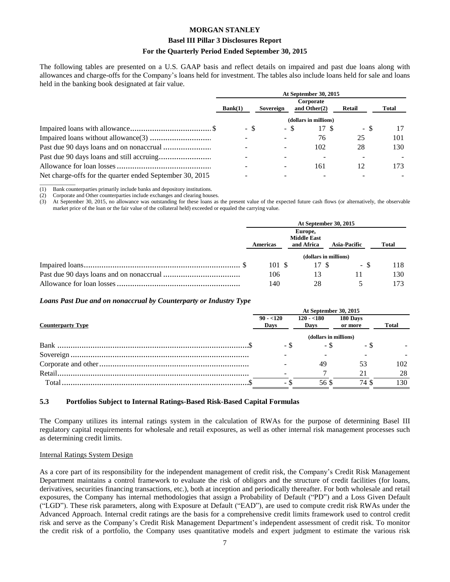#### **Basel III Pillar 3 Disclosures Report**

#### **For the Quarterly Period Ended September 30, 2015**

The following tables are presented on a U.S. GAAP basis and reflect details on impaired and past due loans along with allowances and charge-offs for the Company's loans held for investment. The tables also include loans held for sale and loans held in the banking book designated at fair value.

|                                                          | At September 30, 2015<br>Corporate |           |                       |               |       |  |  |
|----------------------------------------------------------|------------------------------------|-----------|-----------------------|---------------|-------|--|--|
|                                                          |                                    |           |                       |               |       |  |  |
|                                                          | Bank(1)                            | Sovereign | and Other $(2)$       | <b>Retail</b> | Total |  |  |
|                                                          |                                    |           | (dollars in millions) |               |       |  |  |
|                                                          | - \$                               | - \$      | 17 S                  | - \$          |       |  |  |
|                                                          |                                    |           | 76                    | 25            | 101   |  |  |
|                                                          |                                    |           | 102                   | 28            | 130   |  |  |
|                                                          |                                    |           |                       |               |       |  |  |
|                                                          |                                    |           | 161                   |               | 173   |  |  |
| Net charge-offs for the quarter ended September 30, 2015 |                                    |           |                       |               |       |  |  |

(1) Bank counterparties primarily include banks and depository institutions.

\_\_\_\_\_\_\_\_\_\_\_\_\_

(2) Corporate and Other counterparties include exchanges and clearing houses.

(3) At September 30, 2015, no allowance was outstanding for these loans as the present value of the expected future cash flows (or alternatively, the observable market price of the loan or the fair value of the collateral held) exceeded or equaled the carrying value.

| At September 30, 2015 |                                             |                       |              |  |  |  |
|-----------------------|---------------------------------------------|-----------------------|--------------|--|--|--|
| Americas              | Europe,<br><b>Middle East</b><br>and Africa | <b>Asia-Pacific</b>   | <b>Total</b> |  |  |  |
|                       |                                             | (dollars in millions) |              |  |  |  |
| 101 \$                | 17 S                                        | - 8                   | 118          |  |  |  |
| 106                   |                                             |                       | 130          |  |  |  |
| 140                   | 28                                          |                       | 173          |  |  |  |

#### *Loans Past Due and on nonaccrual by Counterparty or Industry Type*

|                          | At September 30, 2015 |                     |                     |              |  |  |  |  |
|--------------------------|-----------------------|---------------------|---------------------|--------------|--|--|--|--|
| <b>Counterparty Type</b> | $90 - 120$<br>Days    | $120 - 180$<br>Days | 180 Days<br>or more | <b>Total</b> |  |  |  |  |
|                          | (dollars in millions) |                     |                     |              |  |  |  |  |
|                          | - \$                  | - \$                | - 3                 |              |  |  |  |  |
|                          |                       |                     |                     |              |  |  |  |  |
|                          |                       | 49                  | 53                  | 102          |  |  |  |  |
|                          |                       |                     |                     | 28           |  |  |  |  |
|                          | $\sim$                | 56 S                | 74 S                | 130          |  |  |  |  |

#### **5.3 Portfolios Subject to Internal Ratings-Based Risk-Based Capital Formulas**

The Company utilizes its internal ratings system in the calculation of RWAs for the purpose of determining Basel III regulatory capital requirements for wholesale and retail exposures, as well as other internal risk management processes such as determining credit limits.

#### Internal Ratings System Design

As a core part of its responsibility for the independent management of credit risk, the Company's Credit Risk Management Department maintains a control framework to evaluate the risk of obligors and the structure of credit facilities (for loans, derivatives, securities financing transactions, etc.), both at inception and periodically thereafter. For both wholesale and retail exposures, the Company has internal methodologies that assign a Probability of Default ("PD") and a Loss Given Default ("LGD"). These risk parameters, along with Exposure at Default ("EAD"), are used to compute credit risk RWAs under the Advanced Approach. Internal credit ratings are the basis for a comprehensive credit limits framework used to control credit risk and serve as the Company's Credit Risk Management Department's independent assessment of credit risk. To monitor the credit risk of a portfolio, the Company uses quantitative models and expert judgment to estimate the various risk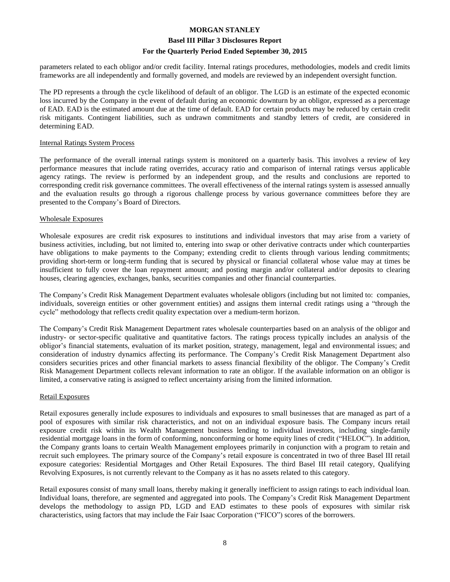#### **Basel III Pillar 3 Disclosures Report**

#### **For the Quarterly Period Ended September 30, 2015**

parameters related to each obligor and/or credit facility. Internal ratings procedures, methodologies, models and credit limits frameworks are all independently and formally governed, and models are reviewed by an independent oversight function.

The PD represents a through the cycle likelihood of default of an obligor. The LGD is an estimate of the expected economic loss incurred by the Company in the event of default during an economic downturn by an obligor, expressed as a percentage of EAD. EAD is the estimated amount due at the time of default. EAD for certain products may be reduced by certain credit risk mitigants. Contingent liabilities, such as undrawn commitments and standby letters of credit, are considered in determining EAD.

#### Internal Ratings System Process

The performance of the overall internal ratings system is monitored on a quarterly basis. This involves a review of key performance measures that include rating overrides, accuracy ratio and comparison of internal ratings versus applicable agency ratings. The review is performed by an independent group, and the results and conclusions are reported to corresponding credit risk governance committees. The overall effectiveness of the internal ratings system is assessed annually and the evaluation results go through a rigorous challenge process by various governance committees before they are presented to the Company's Board of Directors.

#### Wholesale Exposures

Wholesale exposures are credit risk exposures to institutions and individual investors that may arise from a variety of business activities, including, but not limited to, entering into swap or other derivative contracts under which counterparties have obligations to make payments to the Company; extending credit to clients through various lending commitments; providing short-term or long-term funding that is secured by physical or financial collateral whose value may at times be insufficient to fully cover the loan repayment amount; and posting margin and/or collateral and/or deposits to clearing houses, clearing agencies, exchanges, banks, securities companies and other financial counterparties.

The Company's Credit Risk Management Department evaluates wholesale obligors (including but not limited to: companies, individuals, sovereign entities or other government entities) and assigns them internal credit ratings using a "through the cycle" methodology that reflects credit quality expectation over a medium-term horizon.

The Company's Credit Risk Management Department rates wholesale counterparties based on an analysis of the obligor and industry- or sector-specific qualitative and quantitative factors. The ratings process typically includes an analysis of the obligor's financial statements, evaluation of its market position, strategy, management, legal and environmental issues; and consideration of industry dynamics affecting its performance. The Company's Credit Risk Management Department also considers securities prices and other financial markets to assess financial flexibility of the obligor. The Company's Credit Risk Management Department collects relevant information to rate an obligor. If the available information on an obligor is limited, a conservative rating is assigned to reflect uncertainty arising from the limited information.

#### Retail Exposures

Retail exposures generally include exposures to individuals and exposures to small businesses that are managed as part of a pool of exposures with similar risk characteristics, and not on an individual exposure basis. The Company incurs retail exposure credit risk within its Wealth Management business lending to individual investors, including single-family residential mortgage loans in the form of conforming, nonconforming or home equity lines of credit ("HELOC"). In addition, the Company grants loans to certain Wealth Management employees primarily in conjunction with a program to retain and recruit such employees. The primary source of the Company's retail exposure is concentrated in two of three Basel III retail exposure categories: Residential Mortgages and Other Retail Exposures. The third Basel III retail category, Qualifying Revolving Exposures, is not currently relevant to the Company as it has no assets related to this category.

Retail exposures consist of many small loans, thereby making it generally inefficient to assign ratings to each individual loan. Individual loans, therefore, are segmented and aggregated into pools. The Company's Credit Risk Management Department develops the methodology to assign PD, LGD and EAD estimates to these pools of exposures with similar risk characteristics, using factors that may include the Fair Isaac Corporation ("FICO") scores of the borrowers.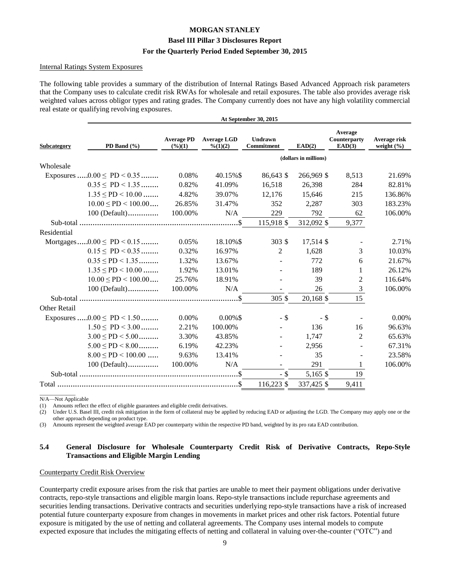#### **Basel III Pillar 3 Disclosures Report**

#### **For the Quarterly Period Ended September 30, 2015**

#### Internal Ratings System Exposures

The following table provides a summary of the distribution of Internal Ratings Based Advanced Approach risk parameters that the Company uses to calculate credit risk RWAs for wholesale and retail exposures. The table also provides average risk weighted values across obligor types and rating grades. The Company currently does not have any high volatility commercial real estate or qualifying revolving exposures.

| Average<br><b>Average PD</b><br><b>Average LGD</b><br>Undrawn<br>Average risk<br>Counterparty<br>EAD(3)<br>PD Band $(\%$<br>$(\frac{6}{6})(1)$<br>Commitment<br>EAD(2)<br>weight $(\% )$<br>$\frac{9}{6}(1)(2)$<br>(dollars in millions)<br>Exposures $0.00 \leq \text{PD} < 0.35$<br>0.08%<br>40.15%\$<br>86,643 \$<br>266,969 \$<br>8,513<br>21.69%<br>$0.35 \leq P D \leq 1.35$<br>284<br>0.82%<br>41.09%<br>16,518<br>26,398<br>82.81%<br>$1.35 \leq PD < 10.00$<br>4.82%<br>39.07%<br>215<br>136.86%<br>12,176<br>15,646<br>$10.00 \leq PD \leq 100.00 \dots$<br>31.47%<br>303<br>183.23%<br>26.85%<br>352<br>2,287<br>N/A<br>229<br>792<br>$100$ (Default)<br>100.00%<br>106.00%<br>62<br>115,918 \$<br>312,092 \$<br>9,377<br>Mortgages $0.00 \leq \text{PD} < 0.15$<br>17,514 \$<br>0.05%<br>18.10%\$<br>$303 \text{ }$ \$<br>2.71%<br>$\blacksquare$<br>$0.15 \leq PD < 0.35$<br>3<br>0.32%<br>16.97%<br>2<br>1,628<br>10.03%<br>$0.35 \leq P D \leq 1.35$<br>13.67%<br>1.32%<br>772<br>21.67%<br>6<br>$\overline{a}$<br>$1.35 \leq PD < 10.00$<br>1.92%<br>13.01%<br>189<br>26.12%<br>$\overline{a}$<br>$10.00 \leq PD < 100.00 \ldots$<br>25.76%<br>39<br>18.91%<br>2<br>116.64%<br>N/A<br>26<br>100 (Default)<br>100.00%<br>3<br>106.00%<br>305 \$<br>15<br>20,168 \$<br>Exposures $0.00 \leq \text{PD} < 1.50$<br>$0.00\%$ \$<br>$-$ \$<br>0.00%<br>0.00%<br>$-$ \$<br>$\blacksquare$<br>$1.50 \leq PD < 3.00$<br>2.21%<br>100.00%<br>136<br>16<br>96.63%<br>$\mathbf{r}$<br>$3.00 \leq PD \leq 5.00$<br>3.30%<br>2<br>43.85%<br>1,747<br>65.63%<br>$\sim$<br>$5.00 \leq PD \leq 8.00$<br>6.19%<br>42.23%<br>2,956<br>67.31%<br>$8.00 \leq PD < 100.00$<br>9.63%<br>13.41%<br>35<br>23.58%<br>291<br>100.00%<br>N/A<br>106.00%<br>$100$ (Default)<br>$-$ \$<br>5,165 \$<br>19<br>116,223 \$<br>9,411<br>337,425 \$ |              | At September 30, 2015 |  |  |  |  |  |  |  |  |  |  |
|---------------------------------------------------------------------------------------------------------------------------------------------------------------------------------------------------------------------------------------------------------------------------------------------------------------------------------------------------------------------------------------------------------------------------------------------------------------------------------------------------------------------------------------------------------------------------------------------------------------------------------------------------------------------------------------------------------------------------------------------------------------------------------------------------------------------------------------------------------------------------------------------------------------------------------------------------------------------------------------------------------------------------------------------------------------------------------------------------------------------------------------------------------------------------------------------------------------------------------------------------------------------------------------------------------------------------------------------------------------------------------------------------------------------------------------------------------------------------------------------------------------------------------------------------------------------------------------------------------------------------------------------------------------------------------------------------------------------------------------------------------------------------------------------------------------------------------|--------------|-----------------------|--|--|--|--|--|--|--|--|--|--|
|                                                                                                                                                                                                                                                                                                                                                                                                                                                                                                                                                                                                                                                                                                                                                                                                                                                                                                                                                                                                                                                                                                                                                                                                                                                                                                                                                                                                                                                                                                                                                                                                                                                                                                                                                                                                                                 | Subcategory  |                       |  |  |  |  |  |  |  |  |  |  |
|                                                                                                                                                                                                                                                                                                                                                                                                                                                                                                                                                                                                                                                                                                                                                                                                                                                                                                                                                                                                                                                                                                                                                                                                                                                                                                                                                                                                                                                                                                                                                                                                                                                                                                                                                                                                                                 |              |                       |  |  |  |  |  |  |  |  |  |  |
|                                                                                                                                                                                                                                                                                                                                                                                                                                                                                                                                                                                                                                                                                                                                                                                                                                                                                                                                                                                                                                                                                                                                                                                                                                                                                                                                                                                                                                                                                                                                                                                                                                                                                                                                                                                                                                 | Wholesale    |                       |  |  |  |  |  |  |  |  |  |  |
|                                                                                                                                                                                                                                                                                                                                                                                                                                                                                                                                                                                                                                                                                                                                                                                                                                                                                                                                                                                                                                                                                                                                                                                                                                                                                                                                                                                                                                                                                                                                                                                                                                                                                                                                                                                                                                 |              |                       |  |  |  |  |  |  |  |  |  |  |
|                                                                                                                                                                                                                                                                                                                                                                                                                                                                                                                                                                                                                                                                                                                                                                                                                                                                                                                                                                                                                                                                                                                                                                                                                                                                                                                                                                                                                                                                                                                                                                                                                                                                                                                                                                                                                                 |              |                       |  |  |  |  |  |  |  |  |  |  |
|                                                                                                                                                                                                                                                                                                                                                                                                                                                                                                                                                                                                                                                                                                                                                                                                                                                                                                                                                                                                                                                                                                                                                                                                                                                                                                                                                                                                                                                                                                                                                                                                                                                                                                                                                                                                                                 |              |                       |  |  |  |  |  |  |  |  |  |  |
|                                                                                                                                                                                                                                                                                                                                                                                                                                                                                                                                                                                                                                                                                                                                                                                                                                                                                                                                                                                                                                                                                                                                                                                                                                                                                                                                                                                                                                                                                                                                                                                                                                                                                                                                                                                                                                 |              |                       |  |  |  |  |  |  |  |  |  |  |
|                                                                                                                                                                                                                                                                                                                                                                                                                                                                                                                                                                                                                                                                                                                                                                                                                                                                                                                                                                                                                                                                                                                                                                                                                                                                                                                                                                                                                                                                                                                                                                                                                                                                                                                                                                                                                                 |              |                       |  |  |  |  |  |  |  |  |  |  |
|                                                                                                                                                                                                                                                                                                                                                                                                                                                                                                                                                                                                                                                                                                                                                                                                                                                                                                                                                                                                                                                                                                                                                                                                                                                                                                                                                                                                                                                                                                                                                                                                                                                                                                                                                                                                                                 |              |                       |  |  |  |  |  |  |  |  |  |  |
|                                                                                                                                                                                                                                                                                                                                                                                                                                                                                                                                                                                                                                                                                                                                                                                                                                                                                                                                                                                                                                                                                                                                                                                                                                                                                                                                                                                                                                                                                                                                                                                                                                                                                                                                                                                                                                 | Residential  |                       |  |  |  |  |  |  |  |  |  |  |
|                                                                                                                                                                                                                                                                                                                                                                                                                                                                                                                                                                                                                                                                                                                                                                                                                                                                                                                                                                                                                                                                                                                                                                                                                                                                                                                                                                                                                                                                                                                                                                                                                                                                                                                                                                                                                                 |              |                       |  |  |  |  |  |  |  |  |  |  |
|                                                                                                                                                                                                                                                                                                                                                                                                                                                                                                                                                                                                                                                                                                                                                                                                                                                                                                                                                                                                                                                                                                                                                                                                                                                                                                                                                                                                                                                                                                                                                                                                                                                                                                                                                                                                                                 |              |                       |  |  |  |  |  |  |  |  |  |  |
|                                                                                                                                                                                                                                                                                                                                                                                                                                                                                                                                                                                                                                                                                                                                                                                                                                                                                                                                                                                                                                                                                                                                                                                                                                                                                                                                                                                                                                                                                                                                                                                                                                                                                                                                                                                                                                 |              |                       |  |  |  |  |  |  |  |  |  |  |
|                                                                                                                                                                                                                                                                                                                                                                                                                                                                                                                                                                                                                                                                                                                                                                                                                                                                                                                                                                                                                                                                                                                                                                                                                                                                                                                                                                                                                                                                                                                                                                                                                                                                                                                                                                                                                                 |              |                       |  |  |  |  |  |  |  |  |  |  |
|                                                                                                                                                                                                                                                                                                                                                                                                                                                                                                                                                                                                                                                                                                                                                                                                                                                                                                                                                                                                                                                                                                                                                                                                                                                                                                                                                                                                                                                                                                                                                                                                                                                                                                                                                                                                                                 |              |                       |  |  |  |  |  |  |  |  |  |  |
|                                                                                                                                                                                                                                                                                                                                                                                                                                                                                                                                                                                                                                                                                                                                                                                                                                                                                                                                                                                                                                                                                                                                                                                                                                                                                                                                                                                                                                                                                                                                                                                                                                                                                                                                                                                                                                 |              |                       |  |  |  |  |  |  |  |  |  |  |
|                                                                                                                                                                                                                                                                                                                                                                                                                                                                                                                                                                                                                                                                                                                                                                                                                                                                                                                                                                                                                                                                                                                                                                                                                                                                                                                                                                                                                                                                                                                                                                                                                                                                                                                                                                                                                                 |              |                       |  |  |  |  |  |  |  |  |  |  |
|                                                                                                                                                                                                                                                                                                                                                                                                                                                                                                                                                                                                                                                                                                                                                                                                                                                                                                                                                                                                                                                                                                                                                                                                                                                                                                                                                                                                                                                                                                                                                                                                                                                                                                                                                                                                                                 | Other Retail |                       |  |  |  |  |  |  |  |  |  |  |
|                                                                                                                                                                                                                                                                                                                                                                                                                                                                                                                                                                                                                                                                                                                                                                                                                                                                                                                                                                                                                                                                                                                                                                                                                                                                                                                                                                                                                                                                                                                                                                                                                                                                                                                                                                                                                                 |              |                       |  |  |  |  |  |  |  |  |  |  |
|                                                                                                                                                                                                                                                                                                                                                                                                                                                                                                                                                                                                                                                                                                                                                                                                                                                                                                                                                                                                                                                                                                                                                                                                                                                                                                                                                                                                                                                                                                                                                                                                                                                                                                                                                                                                                                 |              |                       |  |  |  |  |  |  |  |  |  |  |
|                                                                                                                                                                                                                                                                                                                                                                                                                                                                                                                                                                                                                                                                                                                                                                                                                                                                                                                                                                                                                                                                                                                                                                                                                                                                                                                                                                                                                                                                                                                                                                                                                                                                                                                                                                                                                                 |              |                       |  |  |  |  |  |  |  |  |  |  |
|                                                                                                                                                                                                                                                                                                                                                                                                                                                                                                                                                                                                                                                                                                                                                                                                                                                                                                                                                                                                                                                                                                                                                                                                                                                                                                                                                                                                                                                                                                                                                                                                                                                                                                                                                                                                                                 |              |                       |  |  |  |  |  |  |  |  |  |  |
|                                                                                                                                                                                                                                                                                                                                                                                                                                                                                                                                                                                                                                                                                                                                                                                                                                                                                                                                                                                                                                                                                                                                                                                                                                                                                                                                                                                                                                                                                                                                                                                                                                                                                                                                                                                                                                 |              |                       |  |  |  |  |  |  |  |  |  |  |
|                                                                                                                                                                                                                                                                                                                                                                                                                                                                                                                                                                                                                                                                                                                                                                                                                                                                                                                                                                                                                                                                                                                                                                                                                                                                                                                                                                                                                                                                                                                                                                                                                                                                                                                                                                                                                                 |              |                       |  |  |  |  |  |  |  |  |  |  |
|                                                                                                                                                                                                                                                                                                                                                                                                                                                                                                                                                                                                                                                                                                                                                                                                                                                                                                                                                                                                                                                                                                                                                                                                                                                                                                                                                                                                                                                                                                                                                                                                                                                                                                                                                                                                                                 |              |                       |  |  |  |  |  |  |  |  |  |  |
|                                                                                                                                                                                                                                                                                                                                                                                                                                                                                                                                                                                                                                                                                                                                                                                                                                                                                                                                                                                                                                                                                                                                                                                                                                                                                                                                                                                                                                                                                                                                                                                                                                                                                                                                                                                                                                 |              |                       |  |  |  |  |  |  |  |  |  |  |

\_\_\_\_\_\_\_\_\_\_\_\_\_ N/A—Not Applicable

(1) Amounts reflect the effect of eligible guarantees and eligible credit derivatives.

(2) Under U.S. Basel III, credit risk mitigation in the form of collateral may be applied by reducing EAD or adjusting the LGD. The Company may apply one or the other approach depending on product type.

(3) Amounts represent the weighted average EAD per counterparty within the respective PD band, weighted by its pro rata EAD contribution.

#### **5.4 General Disclosure for Wholesale Counterparty Credit Risk of Derivative Contracts, Repo-Style Transactions and Eligible Margin Lending**

#### Counterparty Credit Risk Overview

Counterparty credit exposure arises from the risk that parties are unable to meet their payment obligations under derivative contracts, repo-style transactions and eligible margin loans. Repo-style transactions include repurchase agreements and securities lending transactions. Derivative contracts and securities underlying repo-style transactions have a risk of increased potential future counterparty exposure from changes in movements in market prices and other risk factors. Potential future exposure is mitigated by the use of netting and collateral agreements. The Company uses internal models to compute expected exposure that includes the mitigating effects of netting and collateral in valuing over-the-counter ("OTC") and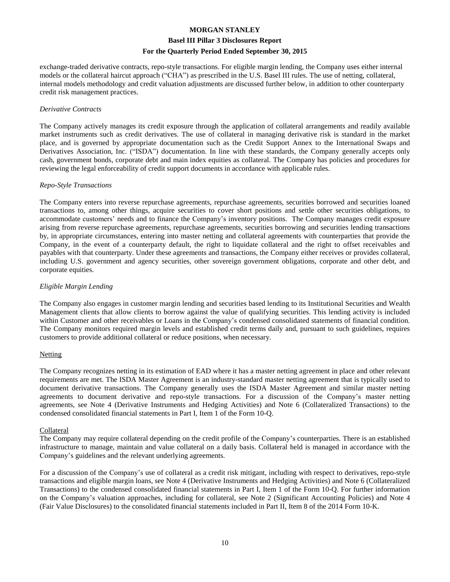#### **Basel III Pillar 3 Disclosures Report**

#### **For the Quarterly Period Ended September 30, 2015**

exchange-traded derivative contracts, repo-style transactions. For eligible margin lending, the Company uses either internal models or the collateral haircut approach ("CHA") as prescribed in the U.S. Basel III rules. The use of netting, collateral, internal models methodology and credit valuation adjustments are discussed further below, in addition to other counterparty credit risk management practices.

#### *Derivative Contracts*

The Company actively manages its credit exposure through the application of collateral arrangements and readily available market instruments such as credit derivatives. The use of collateral in managing derivative risk is standard in the market place, and is governed by appropriate documentation such as the Credit Support Annex to the International Swaps and Derivatives Association, Inc. ("ISDA") documentation. In line with these standards, the Company generally accepts only cash, government bonds, corporate debt and main index equities as collateral. The Company has policies and procedures for reviewing the legal enforceability of credit support documents in accordance with applicable rules.

#### *Repo-Style Transactions*

The Company enters into reverse repurchase agreements, repurchase agreements, securities borrowed and securities loaned transactions to, among other things, acquire securities to cover short positions and settle other securities obligations, to accommodate customers' needs and to finance the Company's inventory positions. The Company manages credit exposure arising from reverse repurchase agreements, repurchase agreements, securities borrowing and securities lending transactions by, in appropriate circumstances, entering into master netting and collateral agreements with counterparties that provide the Company, in the event of a counterparty default, the right to liquidate collateral and the right to offset receivables and payables with that counterparty. Under these agreements and transactions, the Company either receives or provides collateral, including U.S. government and agency securities, other sovereign government obligations, corporate and other debt, and corporate equities.

#### *Eligible Margin Lending*

The Company also engages in customer margin lending and securities based lending to its Institutional Securities and Wealth Management clients that allow clients to borrow against the value of qualifying securities. This lending activity is included within Customer and other receivables or Loans in the Company's condensed consolidated statements of financial condition. The Company monitors required margin levels and established credit terms daily and, pursuant to such guidelines, requires customers to provide additional collateral or reduce positions, when necessary.

#### **Netting**

The Company recognizes netting in its estimation of EAD where it has a master netting agreement in place and other relevant requirements are met. The ISDA Master Agreement is an industry-standard master netting agreement that is typically used to document derivative transactions. The Company generally uses the ISDA Master Agreement and similar master netting agreements to document derivative and repo-style transactions. For a discussion of the Company's master netting agreements, see Note 4 (Derivative Instruments and Hedging Activities) and Note 6 (Collateralized Transactions) to the condensed consolidated financial statements in Part I, Item 1 of the Form 10-Q.

#### Collateral

The Company may require collateral depending on the credit profile of the Company's counterparties. There is an established infrastructure to manage, maintain and value collateral on a daily basis. Collateral held is managed in accordance with the Company's guidelines and the relevant underlying agreements.

For a discussion of the Company's use of collateral as a credit risk mitigant, including with respect to derivatives, repo-style transactions and eligible margin loans, see Note 4 (Derivative Instruments and Hedging Activities) and Note 6 (Collateralized Transactions) to the condensed consolidated financial statements in Part I, Item 1 of the Form 10-Q. For further information on the Company's valuation approaches, including for collateral, see Note 2 (Significant Accounting Policies) and Note 4 (Fair Value Disclosures) to the consolidated financial statements included in Part II, Item 8 of the 2014 Form 10-K.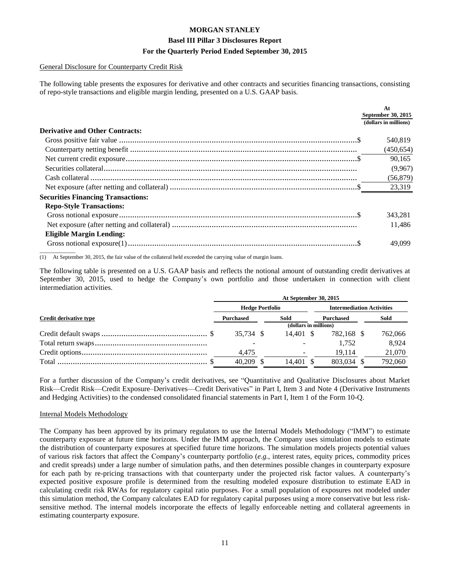#### General Disclosure for Counterparty Credit Risk

The following table presents the exposures for derivative and other contracts and securities financing transactions, consisting of repo-style transactions and eligible margin lending, presented on a U.S. GAAP basis.

|                                           | At<br>September 30, 2015 |
|-------------------------------------------|--------------------------|
|                                           | (dollars in millions)    |
| <b>Derivative and Other Contracts:</b>    |                          |
|                                           | 540.819                  |
|                                           | (450, 654)               |
|                                           | 90.165                   |
|                                           | (9,967)                  |
|                                           | (56, 879)                |
|                                           | 23,319                   |
| <b>Securities Financing Transactions:</b> |                          |
| <b>Repo-Style Transactions:</b>           |                          |
|                                           | 343,281                  |
|                                           | 11.486                   |
| <b>Eligible Margin Lending:</b>           |                          |
|                                           | 49,099                   |
|                                           |                          |

(1) At September 30, 2015, the fair value of the collateral held exceeded the carrying value of margin loans.

The following table is presented on a U.S. GAAP basis and reflects the notional amount of outstanding credit derivatives at September 30, 2015, used to hedge the Company's own portfolio and those undertaken in connection with client intermediation activities.

|                        | At September 30, 2015  |  |           |  |                                  |  |         |  |
|------------------------|------------------------|--|-----------|--|----------------------------------|--|---------|--|
|                        | <b>Hedge Portfolio</b> |  |           |  | <b>Intermediation Activities</b> |  |         |  |
| Credit derivative type | <b>Purchased</b>       |  | Sold      |  | <b>Purchased</b>                 |  | Sold    |  |
|                        | (dollars in millions)  |  |           |  |                                  |  |         |  |
|                        | 35.734 \$              |  | 14.401 \$ |  | 782,168 \$                       |  | 762,066 |  |
|                        |                        |  |           |  | 1.752                            |  | 8.924   |  |
|                        | 4,475                  |  |           |  | 19.114                           |  | 21,070  |  |
|                        | 40.209                 |  | 14.401 \$ |  | 803.034 \$                       |  | 792,060 |  |
|                        |                        |  |           |  |                                  |  |         |  |

For a further discussion of the Company's credit derivatives, see "Quantitative and Qualitative Disclosures about Market Risk—Credit Risk—Credit Exposure–Derivatives—Credit Derivatives" in Part I, Item 3 and Note 4 (Derivative Instruments and Hedging Activities) to the condensed consolidated financial statements in Part I, Item 1 of the Form 10-Q.

#### Internal Models Methodology

The Company has been approved by its primary regulators to use the Internal Models Methodology ("IMM") to estimate counterparty exposure at future time horizons. Under the IMM approach, the Company uses simulation models to estimate the distribution of counterparty exposures at specified future time horizons. The simulation models projects potential values of various risk factors that affect the Company's counterparty portfolio (*e.g.*, interest rates, equity prices, commodity prices and credit spreads) under a large number of simulation paths, and then determines possible changes in counterparty exposure for each path by re-pricing transactions with that counterparty under the projected risk factor values. A counterparty's expected positive exposure profile is determined from the resulting modeled exposure distribution to estimate EAD in calculating credit risk RWAs for regulatory capital ratio purposes. For a small population of exposures not modeled under this simulation method, the Company calculates EAD for regulatory capital purposes using a more conservative but less risksensitive method. The internal models incorporate the effects of legally enforceable netting and collateral agreements in estimating counterparty exposure.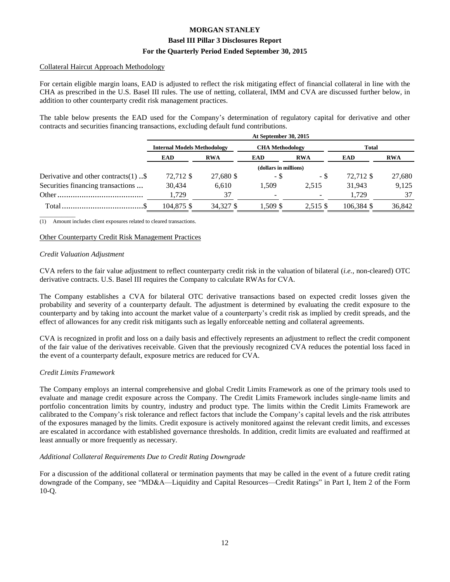#### Collateral Haircut Approach Methodology

For certain eligible margin loans, EAD is adjusted to reflect the risk mitigating effect of financial collateral in line with the CHA as prescribed in the U.S. Basel III rules. The use of netting, collateral, IMM and CVA are discussed further below, in addition to other counterparty credit risk management practices.

The table below presents the EAD used for the Company's determination of regulatory capital for derivative and other contracts and securities financing transactions, excluding default fund contributions.

|                                         | At September 30, 2015              |            |                        |            |            |            |  |  |
|-----------------------------------------|------------------------------------|------------|------------------------|------------|------------|------------|--|--|
|                                         | <b>Internal Models Methodology</b> |            | <b>CHA</b> Methodology |            | Total      |            |  |  |
|                                         | <b>EAD</b>                         | <b>RWA</b> | <b>EAD</b>             | <b>RWA</b> | <b>EAD</b> | <b>RWA</b> |  |  |
|                                         | (dollars in millions)              |            |                        |            |            |            |  |  |
| Derivative and other contracts $(1)$ \$ | 72,712 \$                          | 27,680 \$  | - \$                   | - \$       | 72,712 \$  | 27,680     |  |  |
| Securities financing transactions       | 30,434                             | 6,610      | 1.509                  | 2.515      | 31.943     | 9,125      |  |  |
|                                         | 1.729                              | 37         |                        | <b>COL</b> | 1.729      | 37         |  |  |
|                                         | 104,875 \$                         | 34,327 \$  | 1.509 \$               | 2,515 \$   | 106.384 \$ | 36,842     |  |  |

\_\_\_\_\_\_\_\_\_\_\_\_\_ (1) Amount includes client exposures related to cleared transactions.

#### Other Counterparty Credit Risk Management Practices

#### *Credit Valuation Adjustment*

CVA refers to the fair value adjustment to reflect counterparty credit risk in the valuation of bilateral (*i.e.,* non-cleared) OTC derivative contracts. U.S. Basel III requires the Company to calculate RWAs for CVA.

The Company establishes a CVA for bilateral OTC derivative transactions based on expected credit losses given the probability and severity of a counterparty default. The adjustment is determined by evaluating the credit exposure to the counterparty and by taking into account the market value of a counterparty's credit risk as implied by credit spreads, and the effect of allowances for any credit risk mitigants such as legally enforceable netting and collateral agreements.

CVA is recognized in profit and loss on a daily basis and effectively represents an adjustment to reflect the credit component of the fair value of the derivatives receivable. Given that the previously recognized CVA reduces the potential loss faced in the event of a counterparty default, exposure metrics are reduced for CVA.

#### *Credit Limits Framework*

The Company employs an internal comprehensive and global Credit Limits Framework as one of the primary tools used to evaluate and manage credit exposure across the Company. The Credit Limits Framework includes single-name limits and portfolio concentration limits by country, industry and product type. The limits within the Credit Limits Framework are calibrated to the Company's risk tolerance and reflect factors that include the Company's capital levels and the risk attributes of the exposures managed by the limits. Credit exposure is actively monitored against the relevant credit limits, and excesses are escalated in accordance with established governance thresholds. In addition, credit limits are evaluated and reaffirmed at least annually or more frequently as necessary.

#### *Additional Collateral Requirements Due to Credit Rating Downgrade*

For a discussion of the additional collateral or termination payments that may be called in the event of a future credit rating downgrade of the Company, see "MD&A—Liquidity and Capital Resources—Credit Ratings" in Part I, Item 2 of the Form 10-Q.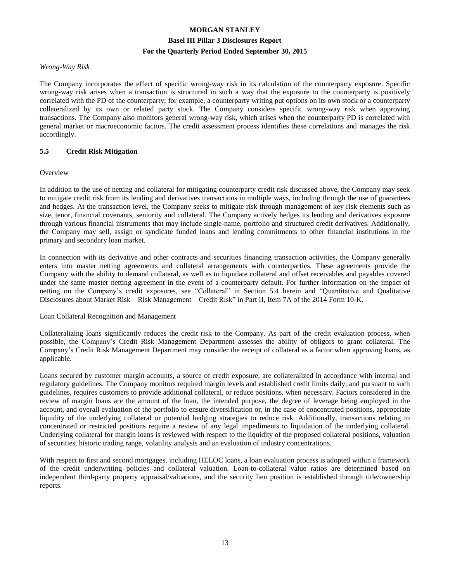#### *Wrong-Way Risk*

The Company incorporates the effect of specific wrong-way risk in its calculation of the counterparty exposure. Specific wrong-way risk arises when a transaction is structured in such a way that the exposure to the counterparty is positively correlated with the PD of the counterparty; for example, a counterparty writing put options on its own stock or a counterparty collateralized by its own or related party stock. The Company considers specific wrong-way risk when approving transactions. The Company also monitors general wrong-way risk, which arises when the counterparty PD is correlated with general market or macroeconomic factors. The credit assessment process identifies these correlations and manages the risk accordingly.

#### **5.5 Credit Risk Mitigation**

#### **Overview**

In addition to the use of netting and collateral for mitigating counterparty credit risk discussed above, the Company may seek to mitigate credit risk from its lending and derivatives transactions in multiple ways, including through the use of guarantees and hedges. At the transaction level, the Company seeks to mitigate risk through management of key risk elements such as size, tenor, financial covenants, seniority and collateral. The Company actively hedges its lending and derivatives exposure through various financial instruments that may include single-name, portfolio and structured credit derivatives. Additionally, the Company may sell, assign or syndicate funded loans and lending commitments to other financial institutions in the primary and secondary loan market.

In connection with its derivative and other contracts and securities financing transaction activities, the Company generally enters into master netting agreements and collateral arrangements with counterparties. These agreements provide the Company with the ability to demand collateral, as well as to liquidate collateral and offset receivables and payables covered under the same master netting agreement in the event of a counterparty default. For further information on the impact of netting on the Company's credit exposures, see "Collateral" in Section 5.4 herein and "Quantitative and Qualitative Disclosures about Market Risk—Risk Management—Credit Risk" in Part II, Item 7A of the 2014 Form 10-K.

#### Loan Collateral Recognition and Management

Collateralizing loans significantly reduces the credit risk to the Company. As part of the credit evaluation process, when possible, the Company's Credit Risk Management Department assesses the ability of obligors to grant collateral. The Company's Credit Risk Management Department may consider the receipt of collateral as a factor when approving loans, as applicable.

Loans secured by customer margin accounts, a source of credit exposure, are collateralized in accordance with internal and regulatory guidelines. The Company monitors required margin levels and established credit limits daily, and pursuant to such guidelines, requires customers to provide additional collateral, or reduce positions, when necessary. Factors considered in the review of margin loans are the amount of the loan, the intended purpose, the degree of leverage being employed in the account, and overall evaluation of the portfolio to ensure diversification or, in the case of concentrated positions, appropriate liquidity of the underlying collateral or potential hedging strategies to reduce risk. Additionally, transactions relating to concentrated or restricted positions require a review of any legal impediments to liquidation of the underlying collateral. Underlying collateral for margin loans is reviewed with respect to the liquidity of the proposed collateral positions, valuation of securities, historic trading range, volatility analysis and an evaluation of industry concentrations.

With respect to first and second mortgages, including HELOC loans, a loan evaluation process is adopted within a framework of the credit underwriting policies and collateral valuation. Loan-to-collateral value ratios are determined based on independent third-party property appraisal/valuations, and the security lien position is established through title/ownership reports.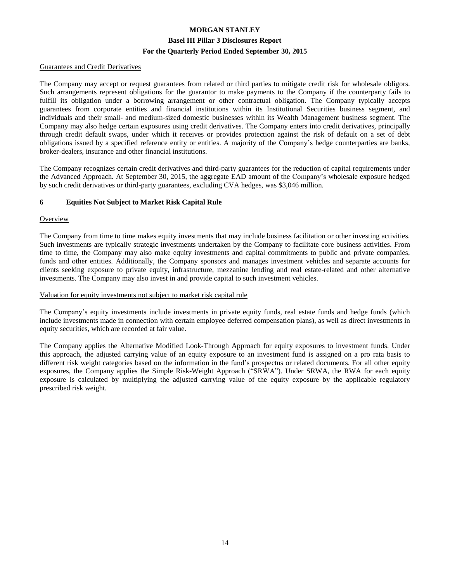#### Guarantees and Credit Derivatives

The Company may accept or request guarantees from related or third parties to mitigate credit risk for wholesale obligors. Such arrangements represent obligations for the guarantor to make payments to the Company if the counterparty fails to fulfill its obligation under a borrowing arrangement or other contractual obligation. The Company typically accepts guarantees from corporate entities and financial institutions within its Institutional Securities business segment, and individuals and their small- and medium-sized domestic businesses within its Wealth Management business segment. The Company may also hedge certain exposures using credit derivatives. The Company enters into credit derivatives, principally through credit default swaps, under which it receives or provides protection against the risk of default on a set of debt obligations issued by a specified reference entity or entities. A majority of the Company's hedge counterparties are banks, broker-dealers, insurance and other financial institutions.

The Company recognizes certain credit derivatives and third-party guarantees for the reduction of capital requirements under the Advanced Approach. At September 30, 2015, the aggregate EAD amount of the Company's wholesale exposure hedged by such credit derivatives or third-party guarantees, excluding CVA hedges, was \$3,046 million.

#### **6 Equities Not Subject to Market Risk Capital Rule**

#### **Overview**

The Company from time to time makes equity investments that may include business facilitation or other investing activities. Such investments are typically strategic investments undertaken by the Company to facilitate core business activities. From time to time, the Company may also make equity investments and capital commitments to public and private companies, funds and other entities. Additionally, the Company sponsors and manages investment vehicles and separate accounts for clients seeking exposure to private equity, infrastructure, mezzanine lending and real estate-related and other alternative investments. The Company may also invest in and provide capital to such investment vehicles.

#### Valuation for equity investments not subject to market risk capital rule

The Company's equity investments include investments in private equity funds, real estate funds and hedge funds (which include investments made in connection with certain employee deferred compensation plans), as well as direct investments in equity securities, which are recorded at fair value.

The Company applies the Alternative Modified Look-Through Approach for equity exposures to investment funds. Under this approach, the adjusted carrying value of an equity exposure to an investment fund is assigned on a pro rata basis to different risk weight categories based on the information in the fund's prospectus or related documents. For all other equity exposures, the Company applies the Simple Risk-Weight Approach ("SRWA"). Under SRWA, the RWA for each equity exposure is calculated by multiplying the adjusted carrying value of the equity exposure by the applicable regulatory prescribed risk weight.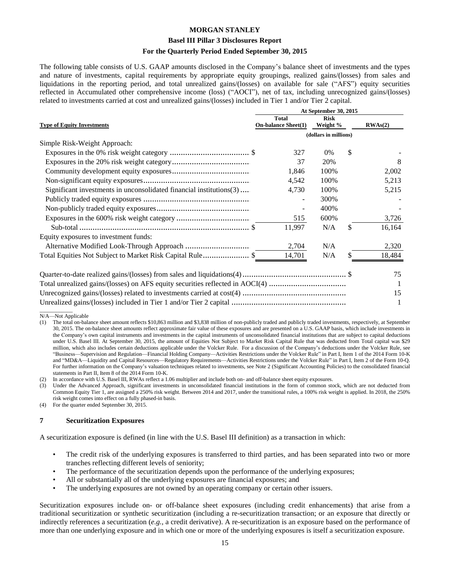#### **Basel III Pillar 3 Disclosures Report**

#### **For the Quarterly Period Ended September 30, 2015**

The following table consists of U.S. GAAP amounts disclosed in the Company's balance sheet of investments and the types and nature of investments, capital requirements by appropriate equity groupings, realized gains/(losses) from sales and liquidations in the reporting period, and total unrealized gains/(losses) on available for sale ("AFS") equity securities reflected in Accumulated other comprehensive income (loss) ("AOCI"), net of tax, including unrecognized gains/(losses) related to investments carried at cost and unrealized gains/(losses) included in Tier 1 and/or Tier 2 capital.

|                                                                     | At September 30, 2015                      |                         |    |         |  |  |  |  |
|---------------------------------------------------------------------|--------------------------------------------|-------------------------|----|---------|--|--|--|--|
| <b>Type of Equity Investments</b>                                   | <b>Total</b><br><b>On-balance Sheet(1)</b> | <b>Risk</b><br>Weight % |    | RWAs(2) |  |  |  |  |
|                                                                     |                                            | (dollars in millions)   |    |         |  |  |  |  |
| Simple Risk-Weight Approach:                                        |                                            |                         |    |         |  |  |  |  |
|                                                                     | 327                                        | 0%                      | \$ |         |  |  |  |  |
|                                                                     | 37                                         | 20%                     |    |         |  |  |  |  |
|                                                                     | 1,846                                      | 100%                    |    | 2,002   |  |  |  |  |
|                                                                     | 4,542                                      | 100%                    |    | 5,213   |  |  |  |  |
| Significant investments in unconsolidated financial institutions(3) | 4,730                                      | 100%                    |    | 5,215   |  |  |  |  |
|                                                                     |                                            | 300%                    |    |         |  |  |  |  |
|                                                                     |                                            | 400%                    |    |         |  |  |  |  |
|                                                                     | 515                                        | 600%                    |    | 3,726   |  |  |  |  |
|                                                                     | 11,997                                     | N/A                     | \$ | 16,164  |  |  |  |  |
| Equity exposures to investment funds:                               |                                            |                         |    |         |  |  |  |  |
|                                                                     | 2,704                                      | N/A                     |    | 2,320   |  |  |  |  |
| Total Equities Not Subject to Market Risk Capital Rule\$            | 14,701                                     | N/A                     |    | 18,484  |  |  |  |  |
|                                                                     |                                            |                         |    | 75      |  |  |  |  |
|                                                                     |                                            |                         |    |         |  |  |  |  |
|                                                                     |                                            |                         |    | 15      |  |  |  |  |
|                                                                     |                                            |                         |    |         |  |  |  |  |

\_\_\_\_\_\_\_\_\_\_\_\_ N/A—Not Applicable

In accordance with U.S. Basel III, RWAs reflect a 1.06 multiplier and include both on- and off-balance sheet equity exposures.

Under the Advanced Approach, significant investments in unconsolidated financial institutions in the form of common stock, which are not deducted from Common Equity Tier 1, are assigned a 250% risk weight. Between 2014 and 2017, under the transitional rules, a 100% risk weight is applied. In 2018, the 250% risk weight comes into effect on a fully phased-in basis.

(4) For the quarter ended September 30, 2015.

#### **7 Securitization Exposures**

A securitization exposure is defined (in line with the U.S. Basel III definition) as a transaction in which:

- The credit risk of the underlying exposures is transferred to third parties, and has been separated into two or more tranches reflecting different levels of seniority;
- The performance of the securitization depends upon the performance of the underlying exposures;
- All or substantially all of the underlying exposures are financial exposures; and
- The underlying exposures are not owned by an operating company or certain other issuers.

Securitization exposures include on- or off-balance sheet exposures (including credit enhancements) that arise from a traditional securitization or synthetic securitization (including a re-securitization transaction; or an exposure that directly or indirectly references a securitization (*e.g.*, a credit derivative). A re-securitization is an exposure based on the performance of more than one underlying exposure and in which one or more of the underlying exposures is itself a securitization exposure.

<sup>(1)</sup> The total on-balance sheet amount reflects \$10,863 million and \$3,838 million of non-publicly traded and publicly traded investments, respectively, at September 30, 2015. The on-balance sheet amounts reflect approximate fair value of these exposures and are presented on a U.S. GAAP basis, which include investments in the Company's own capital instruments and investments in the capital instruments of unconsolidated financial institutions that are subject to capital deductions under U.S. Basel III. At September 30, 2015, the amount of Equities Not Subject to Market Risk Capital Rule that was deducted from Total capital was \$29 million, which also includes certain deductions applicable under the Volcker Rule. For a discussion of the Company's deductions under the Volcker Rule, see "Business—Supervision and Regulation—Financial Holding Company—Activities Restrictions under the Volcker Rule" in Part I, Item 1 of the 2014 Form 10-K and "MD&A—Liquidity and Capital Resources—Regulatory Requirements—Activities Restrictions under the Volcker Rule" in Part I, Item 2 of the Form 10-Q. For further information on the Company's valuation techniques related to investments, see Note 2 (Significant Accounting Policies) to the consolidated financial statements in Part II, Item 8 of the 2014 Form 10-K.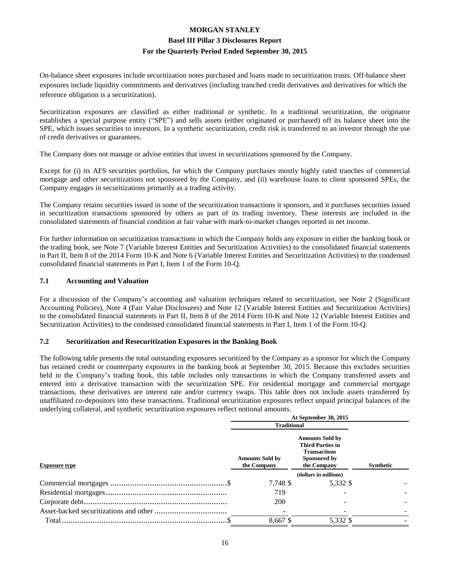On-balance sheet exposures include securitization notes purchased and loans made to securitization trusts. Off-balance sheet exposures include liquidity commitments and derivatives (including tranched credit derivatives and derivatives for which the reference obligation is a securitization).

Securitization exposures are classified as either traditional or synthetic. In a traditional securitization, the originator establishes a special purpose entity ("SPE") and sells assets (either originated or purchased) off its balance sheet into the SPE, which issues securities to investors. In a synthetic securitization, credit risk is transferred to an investor through the use of credit derivatives or guarantees.

The Company does not manage or advise entities that invest in securitizations sponsored by the Company.

Except for (i) its AFS securities portfolios, for which the Company purchases mostly highly rated tranches of commercial mortgage and other securitizations not sponsored by the Company, and (ii) warehouse loans to client sponsored SPEs, the Company engages in securitizations primarily as a trading activity.

The Company retains securities issued in some of the securitization transactions it sponsors, and it purchases securities issued in securitization transactions sponsored by others as part of its trading inventory. These interests are included in the consolidated statements of financial condition at fair value with mark-to-market changes reported in net income.

For further information on securitization transactions in which the Company holds any exposure in either the banking book or the trading book, see Note 7 (Variable Interest Entities and Securitization Activities) to the consolidated financial statements in Part II, Item 8 of the 2014 Form 10-K and Note 6 (Variable Interest Entities and Securitization Activities) to the condensed consolidated financial statements in Part I, Item 1 of the Form 10-Q.

#### **7.1 Accounting and Valuation**

For a discussion of the Company's accounting and valuation techniques related to securitization, see Note 2 (Significant Accounting Policies), Note 4 (Fair Value Disclosures) and Note 12 (Variable Interest Entities and Securitization Activities) to the consolidated financial statements in Part II, Item 8 of the 2014 Form 10-K and Note 12 (Variable Interest Entities and Securitization Activities) to the condensed consolidated financial statements in Part I, Item 1 of the Form 10-Q.

#### **7.2 Securitization and Resecuritization Exposures in the Banking Book**

The following table presents the total outstanding exposures securitized by the Company as a sponsor for which the Company has retained credit or counterparty exposures in the banking book at September 30, 2015. Because this excludes securities held in the Company's trading book, this table includes only transactions in which the Company transferred assets and entered into a derivative transaction with the securitization SPE. For residential mortgage and commercial mortgage transactions, these derivatives are interest rate and/or currency swaps. This table does not include assets transferred by unaffiliated co-depositors into these transactions. Traditional securitization exposures reflect unpaid principal balances of the underlying collateral, and synthetic securitization exposures reflect notional amounts.

|                      | At September 30, 2015                 |                                                                                                         |           |  |  |  |
|----------------------|---------------------------------------|---------------------------------------------------------------------------------------------------------|-----------|--|--|--|
|                      | <b>Traditional</b>                    |                                                                                                         |           |  |  |  |
| <b>Exposure type</b> | <b>Amounts Sold by</b><br>the Company | <b>Amounts Sold by</b><br><b>Third Parties in</b><br><b>Transactions</b><br>Sponsored by<br>the Company | Synthetic |  |  |  |
|                      |                                       | (dollars in millions)                                                                                   |           |  |  |  |
|                      | 7,748 \$                              | 5,332 \$                                                                                                |           |  |  |  |
|                      | 719                                   |                                                                                                         |           |  |  |  |
|                      | 200                                   |                                                                                                         |           |  |  |  |
|                      |                                       |                                                                                                         |           |  |  |  |
|                      | 8.667 \$                              | 5,332 \$                                                                                                |           |  |  |  |
|                      |                                       |                                                                                                         |           |  |  |  |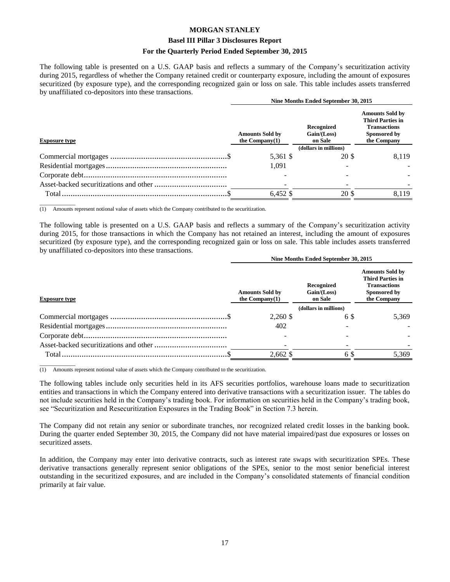#### **Basel III Pillar 3 Disclosures Report**

#### **For the Quarterly Period Ended September 30, 2015**

The following table is presented on a U.S. GAAP basis and reflects a summary of the Company's securitization activity during 2015, regardless of whether the Company retained credit or counterparty exposure, including the amount of exposures securitized (by exposure type), and the corresponding recognized gain or loss on sale. This table includes assets transferred by unaffiliated co-depositors into these transactions.

|                      | Nine Months Ended September 30, 2015        |                                      |                                                                                                         |  |  |  |
|----------------------|---------------------------------------------|--------------------------------------|---------------------------------------------------------------------------------------------------------|--|--|--|
| <b>Exposure type</b> | <b>Amounts Sold by</b><br>the Company $(1)$ | Recognized<br>Gain/(Loss)<br>on Sale | <b>Amounts Sold by</b><br><b>Third Parties in</b><br><b>Transactions</b><br>Sponsored by<br>the Company |  |  |  |
|                      |                                             | (dollars in millions)                |                                                                                                         |  |  |  |
|                      | 5,361 \$                                    | 20 \$                                | 8.119                                                                                                   |  |  |  |
|                      | 1.091                                       |                                      |                                                                                                         |  |  |  |
|                      |                                             |                                      |                                                                                                         |  |  |  |
|                      |                                             |                                      |                                                                                                         |  |  |  |
|                      | $6.452$ \$                                  | <b>20 \$</b>                         | 8.119                                                                                                   |  |  |  |
|                      |                                             |                                      |                                                                                                         |  |  |  |

\_\_\_\_\_\_\_\_\_\_\_\_\_ (1) Amounts represent notional value of assets which the Company contributed to the securitization.

The following table is presented on a U.S. GAAP basis and reflects a summary of the Company's securitization activity during 2015, for those transactions in which the Company has not retained an interest, including the amount of exposures securitized (by exposure type), and the corresponding recognized gain or loss on sale. This table includes assets transferred by unaffiliated co-depositors into these transactions.

|                      | Nine Months Ended September 30, 2015        |                                      |                                                                                                         |  |  |  |
|----------------------|---------------------------------------------|--------------------------------------|---------------------------------------------------------------------------------------------------------|--|--|--|
| <b>Exposure type</b> | <b>Amounts Sold by</b><br>the Company $(1)$ | Recognized<br>Gain/(Loss)<br>on Sale | <b>Amounts Sold by</b><br><b>Third Parties in</b><br><b>Transactions</b><br>Sponsored by<br>the Company |  |  |  |
|                      |                                             | (dollars in millions)                |                                                                                                         |  |  |  |
|                      | 2,260 \$                                    | 6 \$                                 | 5.369                                                                                                   |  |  |  |
|                      | 402                                         |                                      |                                                                                                         |  |  |  |
|                      |                                             |                                      |                                                                                                         |  |  |  |
|                      |                                             |                                      |                                                                                                         |  |  |  |
|                      | 2,662 \$                                    | 6 S                                  | 5,369                                                                                                   |  |  |  |

\_\_\_\_\_\_\_\_\_\_\_\_\_ (1) Amounts represent notional value of assets which the Company contributed to the securitization.

The following tables include only securities held in its AFS securities portfolios, warehouse loans made to securitization entities and transactions in which the Company entered into derivative transactions with a securitization issuer. The tables do not include securities held in the Company's trading book. For information on securities held in the Company's trading book, see "Securitization and Resecuritization Exposures in the Trading Book" in Section 7.3 herein.

The Company did not retain any senior or subordinate tranches, nor recognized related credit losses in the banking book. During the quarter ended September 30, 2015, the Company did not have material impaired/past due exposures or losses on securitized assets.

In addition, the Company may enter into derivative contracts, such as interest rate swaps with securitization SPEs. These derivative transactions generally represent senior obligations of the SPEs, senior to the most senior beneficial interest outstanding in the securitized exposures, and are included in the Company's consolidated statements of financial condition primarily at fair value.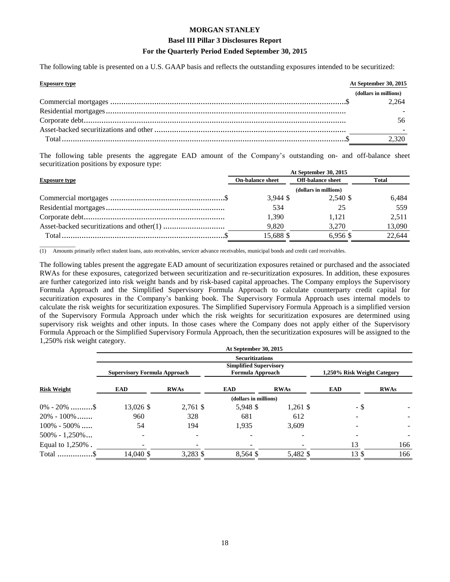#### **Basel III Pillar 3 Disclosures Report**

#### **For the Quarterly Period Ended September 30, 2015**

The following table is presented on a U.S. GAAP basis and reflects the outstanding exposures intended to be securitized:

| <b>Exposure type</b> | At September 30, 2015 |
|----------------------|-----------------------|
|                      | (dollars in millions) |
|                      | 2.264                 |
|                      |                       |
|                      |                       |
|                      |                       |
|                      | 2,320                 |

The following table presents the aggregate EAD amount of the Company's outstanding on- and off-balance sheet securitization positions by exposure type:

| At September 30, 2015 |                          |        |  |  |  |  |
|-----------------------|--------------------------|--------|--|--|--|--|
| On-balance sheet      | <b>Off-balance sheet</b> | Total  |  |  |  |  |
| (dollars in millions) |                          |        |  |  |  |  |
| $3.944$ \$            | 2.540 \$                 | 6.484  |  |  |  |  |
| 534                   |                          | 559    |  |  |  |  |
| 1.390                 | 1.121                    | 2.511  |  |  |  |  |
| 9,820                 | 3.270                    | 13,090 |  |  |  |  |
| 15.688 \$             | $6.956$ \$               | 22,644 |  |  |  |  |
|                       |                          |        |  |  |  |  |

(1) Amounts primarily reflect student loans, auto receivables, servicer advance receivables, municipal bonds and credit card receivables.

\_\_\_\_\_\_\_\_\_\_\_\_\_

The following tables present the aggregate EAD amount of securitization exposures retained or purchased and the associated RWAs for these exposures, categorized between securitization and re-securitization exposures. In addition, these exposures are further categorized into risk weight bands and by risk-based capital approaches. The Company employs the Supervisory Formula Approach and the Simplified Supervisory Formula Approach to calculate counterparty credit capital for securitization exposures in the Company's banking book. The Supervisory Formula Approach uses internal models to calculate the risk weights for securitization exposures. The Simplified Supervisory Formula Approach is a simplified version of the Supervisory Formula Approach under which the risk weights for securitization exposures are determined using supervisory risk weights and other inputs. In those cases where the Company does not apply either of the Supervisory Formula Approach or the Simplified Supervisory Formula Approach, then the securitization exposures will be assigned to the 1,250% risk weight category.

|                         |                                     |             | At September 30, 2015                             |             |                             |             |
|-------------------------|-------------------------------------|-------------|---------------------------------------------------|-------------|-----------------------------|-------------|
|                         |                                     |             | <b>Securitizations</b>                            |             |                             |             |
|                         | <b>Supervisory Formula Approach</b> |             | <b>Simplified Supervisory</b><br>Formula Approach |             | 1,250% Risk Weight Category |             |
| <b>Risk Weight</b>      | EAD                                 | <b>RWAs</b> | <b>EAD</b>                                        | <b>RWAs</b> | <b>EAD</b>                  | <b>RWAs</b> |
|                         |                                     |             | (dollars in millions)                             |             |                             |             |
| $0\% - 20\%$ \$         | 13,026 \$                           | $2,761$ \$  | 5,948 \$                                          | $1,261$ \$  | - \$                        |             |
| $20\% - 100\%$          | 960                                 | 328         | 681                                               | 612         |                             |             |
| $100\% - 500\%$         | 54                                  | 194         | 1,935                                             | 3,609       |                             |             |
| $500\% - 1,250\% \dots$ | $\overline{\phantom{0}}$            |             |                                                   |             |                             |             |
| Equal to $1,250\%$ .    |                                     |             |                                                   |             | 13                          | 166         |
| Total \$                | 14,040 \$                           | 3,283 \$    | 8,564 \$                                          | 5,482 \$    | 13\$                        | 166         |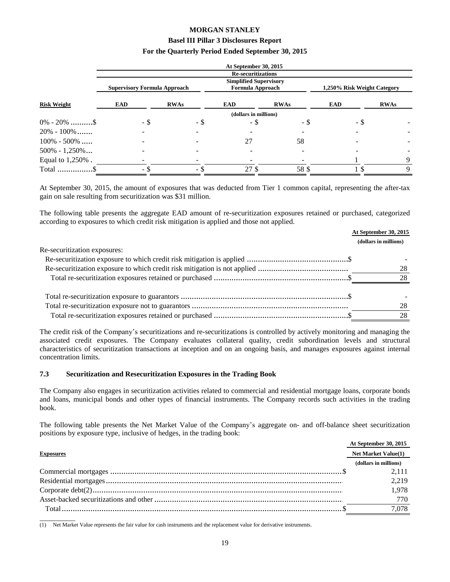#### **Basel III Pillar 3 Disclosures Report**

#### **For the Quarterly Period Ended September 30, 2015**

|                         |                                     |             | At September 30, 2015                                    |             |                             |             |
|-------------------------|-------------------------------------|-------------|----------------------------------------------------------|-------------|-----------------------------|-------------|
|                         |                                     |             | <b>Re-securitizations</b>                                |             |                             |             |
|                         | <b>Supervisory Formula Approach</b> |             | <b>Simplified Supervisory</b><br><b>Formula Approach</b> |             | 1,250% Risk Weight Category |             |
| <b>Risk Weight</b>      | <b>EAD</b>                          | <b>RWAs</b> | <b>EAD</b>                                               | <b>RWAs</b> | EAD                         | <b>RWAs</b> |
|                         |                                     |             | (dollars in millions)                                    |             |                             |             |
| $0\% - 20\%$ \$         | - \$                                | - \$        | - \$                                                     | - \$        | - \$                        |             |
| $20\% - 100\%$          |                                     |             |                                                          |             |                             |             |
| $100\% - 500\%$         |                                     |             | 27                                                       | 58          |                             |             |
| $500\% - 1,250\% \dots$ |                                     |             |                                                          |             |                             |             |
| Equal to 1,250%.        |                                     |             |                                                          |             |                             |             |
| Total \$                | - \$                                | - \$        | 27 \$                                                    | 58\$        |                             |             |

At September 30, 2015, the amount of exposures that was deducted from Tier 1 common capital, representing the after-tax gain on sale resulting from securitization was \$31 million.

The following table presents the aggregate EAD amount of re-securitization exposures retained or purchased, categorized according to exposures to which credit risk mitigation is applied and those not applied.

|                              | At September 30, 2015 |
|------------------------------|-----------------------|
|                              | (dollars in millions) |
| Re-securitization exposures: |                       |
|                              |                       |
|                              | 28                    |
|                              | 28                    |
|                              |                       |
|                              |                       |
|                              | 28                    |
|                              | 28                    |

The credit risk of the Company's securitizations and re-securitizations is controlled by actively monitoring and managing the associated credit exposures. The Company evaluates collateral quality, credit subordination levels and structural characteristics of securitization transactions at inception and on an ongoing basis, and manages exposures against internal concentration limits.

#### **7.3 Securitization and Resecuritization Exposures in the Trading Book**

The Company also engages in securitization activities related to commercial and residential mortgage loans, corporate bonds and loans, municipal bonds and other types of financial instruments. The Company records such activities in the trading book.

The following table presents the Net Market Value of the Company's aggregate on- and off-balance sheet securitization positions by exposure type, inclusive of hedges, in the trading book:

|                  | At September 30, 2015      |  |
|------------------|----------------------------|--|
| <b>Exposures</b> | <b>Net Market Value(1)</b> |  |
|                  | (dollars in millions)      |  |
|                  | 2.111                      |  |
|                  | 2.219                      |  |
|                  | 1.978                      |  |
|                  | 770                        |  |
| Total.           | 7.078                      |  |

\_\_\_\_\_\_\_\_\_\_\_\_\_ (1) Net Market Value represents the fair value for cash instruments and the replacement value for derivative instruments.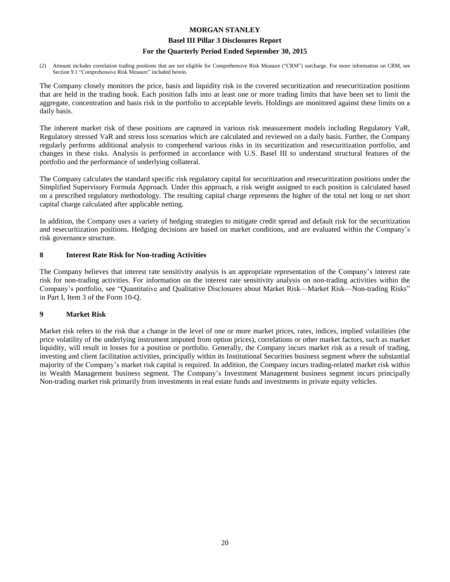#### **Basel III Pillar 3 Disclosures Report**

#### **For the Quarterly Period Ended September 30, 2015**

(2) Amount includes correlation trading positions that are not eligible for Comprehensive Risk Measure ("CRM") surcharge. For more information on CRM, see Section 9.1 "Comprehensive Risk Measure" included herein.

The Company closely monitors the price, basis and liquidity risk in the covered securitization and resecuritization positions that are held in the trading book. Each position falls into at least one or more trading limits that have been set to limit the aggregate, concentration and basis risk in the portfolio to acceptable levels. Holdings are monitored against these limits on a daily basis.

The inherent market risk of these positions are captured in various risk measurement models including Regulatory VaR, Regulatory stressed VaR and stress loss scenarios which are calculated and reviewed on a daily basis. Further, the Company regularly performs additional analysis to comprehend various risks in its securitization and resecuritization portfolio, and changes in these risks. Analysis is performed in accordance with U.S. Basel III to understand structural features of the portfolio and the performance of underlying collateral.

The Company calculates the standard specific risk regulatory capital for securitization and resecuritization positions under the Simplified Supervisory Formula Approach. Under this approach, a risk weight assigned to each position is calculated based on a prescribed regulatory methodology. The resulting capital charge represents the higher of the total net long or net short capital charge calculated after applicable netting.

In addition, the Company uses a variety of hedging strategies to mitigate credit spread and default risk for the securitization and resecuritization positions. Hedging decisions are based on market conditions, and are evaluated within the Company's risk governance structure.

#### **8 Interest Rate Risk for Non-trading Activities**

The Company believes that interest rate sensitivity analysis is an appropriate representation of the Company's interest rate risk for non-trading activities. For information on the interest rate sensitivity analysis on non-trading activities within the Company's portfolio, see "Quantitative and Qualitative Disclosures about Market Risk—Market Risk—Non-trading Risks" in Part I, Item 3 of the Form 10-Q.

#### **9 Market Risk**

Market risk refers to the risk that a change in the level of one or more market prices, rates, indices, implied volatilities (the price volatility of the underlying instrument imputed from option prices), correlations or other market factors, such as market liquidity, will result in losses for a position or portfolio. Generally, the Company incurs market risk as a result of trading, investing and client facilitation activities, principally within its Institutional Securities business segment where the substantial majority of the Company's market risk capital is required. In addition, the Company incurs trading-related market risk within its Wealth Management business segment. The Company's Investment Management business segment incurs principally Non-trading market risk primarily from investments in real estate funds and investments in private equity vehicles.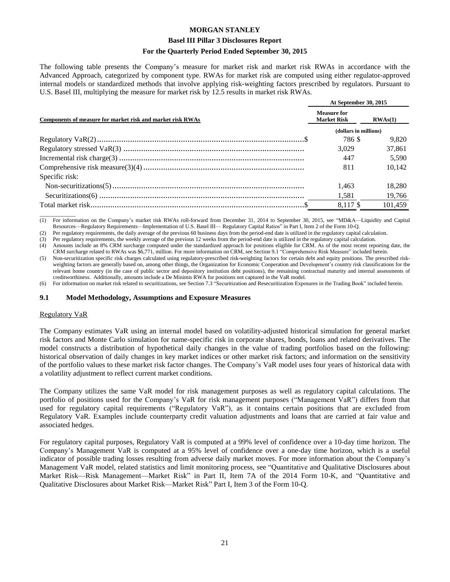#### **Basel III Pillar 3 Disclosures Report**

#### **For the Quarterly Period Ended September 30, 2015**

The following table presents the Company's measure for market risk and market risk RWAs in accordance with the Advanced Approach, categorized by component type. RWAs for market risk are computed using either regulator-approved internal models or standardized methods that involve applying risk-weighting factors prescribed by regulators. Pursuant to U.S. Basel III, multiplying the measure for market risk by 12.5 results in market risk RWAs.

|                                                            | At September 30, 2015                    |         |  |  |
|------------------------------------------------------------|------------------------------------------|---------|--|--|
| Components of measure for market risk and market risk RWAs | <b>Measure for</b><br><b>Market Risk</b> |         |  |  |
|                                                            | (dollars in millions)                    |         |  |  |
|                                                            | 786 \$                                   | 9.820   |  |  |
|                                                            | 3.029                                    | 37,861  |  |  |
|                                                            | 447                                      | 5.590   |  |  |
|                                                            | 811                                      | 10.142  |  |  |
| Specific risk:                                             |                                          |         |  |  |
|                                                            | 1.463                                    | 18.280  |  |  |
|                                                            | 1,581                                    | 19,766  |  |  |
|                                                            | 8.117\$                                  | 101.459 |  |  |

\_\_\_\_\_\_\_\_\_\_\_\_\_ (1) For information on the Company's market risk RWAs roll-forward from December 31, 2014 to September 30, 2015, see "MD&A—Liquidity and Capital Resources—Regulatory Requirements—Implementation of U.S. Basel III— Regulatory Capital Ratios" in Part I, Item 2 of the Form 10-Q.

(2) Per regulatory requirements, the daily average of the previous 60 business days from the period-end date is utilized in the regulatory capital calculation.

(3) Per regulatory requirements, the weekly average of the previous 12 weeks from the period-end date is utilized in the regulatory capital calculation.

(4) Amounts include an 8% CRM surcharge computed under the standardized approach for positions eligible for CRM. As of the most recent reporting date, the CRM surcharge related to RWAs was \$6,771, million. For more information on CRM, see Section 9.1 "Comprehensive Risk Measure" included herein.

(5) Non-securitization specific risk charges calculated using regulatory-prescribed risk-weighting factors for certain debt and equity positions. The prescribed riskweighting factors are generally based on, among other things, the Organization for Economic Cooperation and Development's country risk classifications for the relevant home country (in the case of public sector and depository institution debt positions), the remaining contractual maturity and internal assessments of creditworthiness. Additionally, amounts include a De Minimis RWA for positions not captured in the VaR model.

(6) For information on market risk related to securitizations, see Section 7.3 "Securitization and Resecuritization Exposures in the Trading Book" included herein.

#### **9.1 Model Methodology, Assumptions and Exposure Measures**

#### Regulatory VaR

The Company estimates VaR using an internal model based on volatility-adjusted historical simulation for general market risk factors and Monte Carlo simulation for name-specific risk in corporate shares, bonds, loans and related derivatives. The model constructs a distribution of hypothetical daily changes in the value of trading portfolios based on the following: historical observation of daily changes in key market indices or other market risk factors; and information on the sensitivity of the portfolio values to these market risk factor changes. The Company's VaR model uses four years of historical data with a volatility adjustment to reflect current market conditions.

The Company utilizes the same VaR model for risk management purposes as well as regulatory capital calculations. The portfolio of positions used for the Company's VaR for risk management purposes ("Management VaR") differs from that used for regulatory capital requirements ("Regulatory VaR"), as it contains certain positions that are excluded from Regulatory VaR. Examples include counterparty credit valuation adjustments and loans that are carried at fair value and associated hedges.

For regulatory capital purposes, Regulatory VaR is computed at a 99% level of confidence over a 10-day time horizon. The Company's Management VaR is computed at a 95% level of confidence over a one-day time horizon, which is a useful indicator of possible trading losses resulting from adverse daily market moves. For more information about the Company's Management VaR model, related statistics and limit monitoring process, see "Quantitative and Qualitative Disclosures about Market Risk—Risk Management—Market Risk" in Part II, Item 7A of the 2014 Form 10-K, and "Quantitative and Qualitative Disclosures about Market Risk—Market Risk" Part I, Item 3 of the Form 10-Q.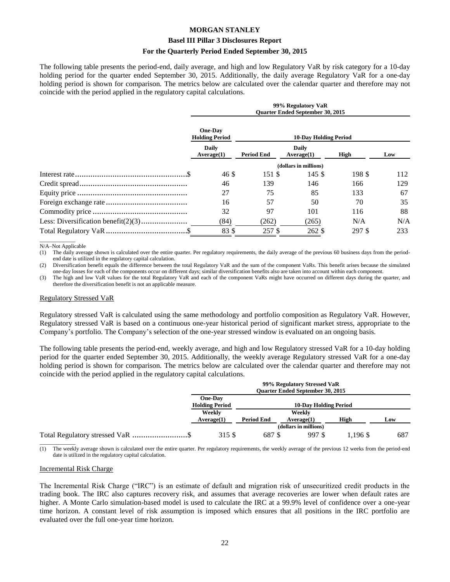#### **Basel III Pillar 3 Disclosures Report**

#### **For the Quarterly Period Ended September 30, 2015**

The following table presents the period-end, daily average, and high and low Regulatory VaR by risk category for a 10-day holding period for the quarter ended September 30, 2015. Additionally, the daily average Regulatory VaR for a one-day holding period is shown for comparison. The metrics below are calculated over the calendar quarter and therefore may not coincide with the period applied in the regulatory capital calculations.

| 99% Regulatory VaR<br><b>Ouarter Ended September 30, 2015</b> |                              |                       |        |     |  |
|---------------------------------------------------------------|------------------------------|-----------------------|--------|-----|--|
| <b>One-Day</b><br><b>Holding Period</b>                       | <b>10-Day Holding Period</b> |                       |        |     |  |
| <b>Daily</b><br>Average(1)                                    | <b>Period End</b>            | Daily<br>Average(1)   | High   | Low |  |
|                                                               |                              | (dollars in millions) |        |     |  |
| 46 \$                                                         | 151 \$                       | 145 $$$               | 198 \$ | 112 |  |
| 46                                                            | 139                          | 146                   | 166    | 129 |  |
| 27                                                            | 75                           | 85                    | 133    | 67  |  |
| 16                                                            | 57                           | 50                    | 70     | 35  |  |
| 32                                                            | 97                           | 101                   | 116    | 88  |  |
| (84)                                                          | (262)                        | (265)                 | N/A    | N/A |  |
| 83\$                                                          | 257 \$                       | 262 \$                | 297 \$ | 233 |  |

\_\_\_\_\_\_\_\_\_\_\_\_\_ N/A–Not Applicable

(1) The daily average shown is calculated over the entire quarter. Per regulatory requirements, the daily average of the previous 60 business days from the periodend date is utilized in the regulatory capital calculation.

(2) Diversification benefit equals the difference between the total Regulatory VaR and the sum of the component VaRs. This benefit arises because the simulated one-day losses for each of the components occur on different days; similar diversification benefits also are taken into account within each component.

(3) The high and low VaR values for the total Regulatory VaR and each of the component VaRs might have occurred on different days during the quarter, and therefore the diversification benefit is not an applicable measure.

#### Regulatory Stressed VaR

Regulatory stressed VaR is calculated using the same methodology and portfolio composition as Regulatory VaR. However, Regulatory stressed VaR is based on a continuous one-year historical period of significant market stress, appropriate to the Company's portfolio. The Company's selection of the one-year stressed window is evaluated on an ongoing basis.

The following table presents the period-end, weekly average, and high and low Regulatory stressed VaR for a 10-day holding period for the quarter ended September 30, 2015. Additionally, the weekly average Regulatory stressed VaR for a one-day holding period is shown for comparison. The metrics below are calculated over the calendar quarter and therefore may not coincide with the period applied in the regulatory capital calculations.

|                                  | 99% Regulatory Stressed VaR<br><b>Ouarter Ended September 30, 2015</b> |                              |                       |          |     |  |
|----------------------------------|------------------------------------------------------------------------|------------------------------|-----------------------|----------|-----|--|
|                                  | One-Day<br><b>Holding Period</b>                                       | <b>10-Day Holding Period</b> |                       |          |     |  |
|                                  | Weekly                                                                 | Weekly                       |                       |          |     |  |
|                                  | Average(1)                                                             | <b>Period End</b>            | Average(1)            | High     | Low |  |
|                                  |                                                                        |                              | (dollars in millions) |          |     |  |
| Total Regulatory stressed VaR \$ | 315 \$                                                                 | 687 \$                       | 997 \$                | 1.196 \$ | 687 |  |
|                                  |                                                                        |                              |                       |          |     |  |

(1) The weekly average shown is calculated over the entire quarter. Per regulatory requirements, the weekly average of the previous 12 weeks from the period-end date is utilized in the regulatory capital calculation.

#### Incremental Risk Charge

The Incremental Risk Charge ("IRC") is an estimate of default and migration risk of unsecuritized credit products in the trading book. The IRC also captures recovery risk, and assumes that average recoveries are lower when default rates are higher. A Monte Carlo simulation-based model is used to calculate the IRC at a 99.9% level of confidence over a one-year time horizon. A constant level of risk assumption is imposed which ensures that all positions in the IRC portfolio are evaluated over the full one-year time horizon.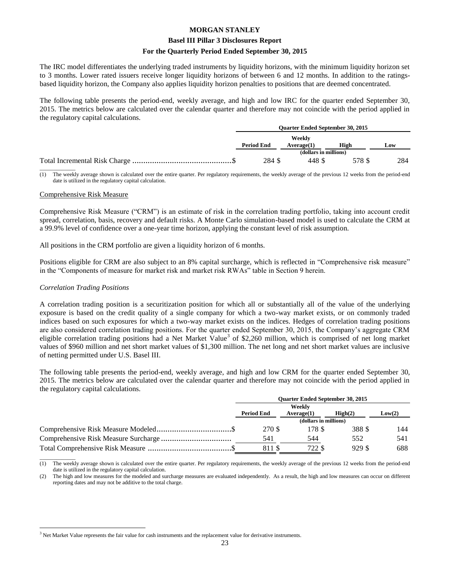#### **Basel III Pillar 3 Disclosures Report**

#### **For the Quarterly Period Ended September 30, 2015**

The IRC model differentiates the underlying traded instruments by liquidity horizons, with the minimum liquidity horizon set to 3 months. Lower rated issuers receive longer liquidity horizons of between 6 and 12 months. In addition to the ratingsbased liquidity horizon, the Company also applies liquidity horizon penalties to positions that are deemed concentrated.

The following table presents the period-end, weekly average, and high and low IRC for the quarter ended September 30, 2015. The metrics below are calculated over the calendar quarter and therefore may not coincide with the period applied in the regulatory capital calculations.

| <b>Ouarter Ended September 30, 2015</b> |                       |        |     |  |
|-----------------------------------------|-----------------------|--------|-----|--|
|                                         | Weekly                |        |     |  |
| <b>Period End</b>                       | Average(1)            | High   | Low |  |
|                                         | (dollars in millions) |        |     |  |
| 284 \$                                  | 448 \$                | 578 \$ | 284 |  |
|                                         |                       |        |     |  |

The weekly average shown is calculated over the entire quarter. Per regulatory requirements, the weekly average of the previous 12 weeks from the period-end date is utilized in the regulatory capital calculation.

#### Comprehensive Risk Measure

Comprehensive Risk Measure ("CRM") is an estimate of risk in the correlation trading portfolio, taking into account credit spread, correlation, basis, recovery and default risks. A Monte Carlo simulation-based model is used to calculate the CRM at a 99.9% level of confidence over a one-year time horizon, applying the constant level of risk assumption.

All positions in the CRM portfolio are given a liquidity horizon of 6 months.

Positions eligible for CRM are also subject to an 8% capital surcharge, which is reflected in "Comprehensive risk measure" in the "Components of measure for market risk and market risk RWAs" table in Section 9 herein.

#### *Correlation Trading Positions*

 $\overline{a}$ 

A correlation trading position is a securitization position for which all or substantially all of the value of the underlying exposure is based on the credit quality of a single company for which a two-way market exists, or on commonly traded indices based on such exposures for which a two-way market exists on the indices. Hedges of correlation trading positions are also considered correlation trading positions. For the quarter ended September 30, 2015, the Company's aggregate CRM eligible correlation trading positions had a Net Market Value<sup>3</sup> of \$2,260 million, which is comprised of net long market values of \$960 million and net short market values of \$1,300 million. The net long and net short market values are inclusive of netting permitted under U.S. Basel III.

The following table presents the period-end, weekly average, and high and low CRM for the quarter ended September 30, 2015. The metrics below are calculated over the calendar quarter and therefore may not coincide with the period applied in the regulatory capital calculations.

| <b>Ouarter Ended September 30, 2015</b> |            |                    |        |  |
|-----------------------------------------|------------|--------------------|--------|--|
| Weekly                                  |            |                    |        |  |
| <b>Period End</b>                       | Average(1) | $\mathbf{High}(2)$ | Low(2) |  |
| (dollars in millions)                   |            |                    |        |  |
| 270 \$                                  | 178 \$     | 388 \$             | 144    |  |
| 541                                     | 544        | 552                | 541    |  |
| 811 \$                                  | 722 \$     | 929 \$             | 688    |  |

\_\_\_\_\_\_\_\_\_\_\_\_\_ (1) The weekly average shown is calculated over the entire quarter. Per regulatory requirements, the weekly average of the previous 12 weeks from the period-end date is utilized in the regulatory capital calculation.

(2) The high and low measures for the modeled and surcharge measures are evaluated independently. As a result, the high and low measures can occur on different reporting dates and may not be additive to the total charge.

<sup>&</sup>lt;sup>3</sup> Net Market Value represents the fair value for cash instruments and the replacement value for derivative instruments.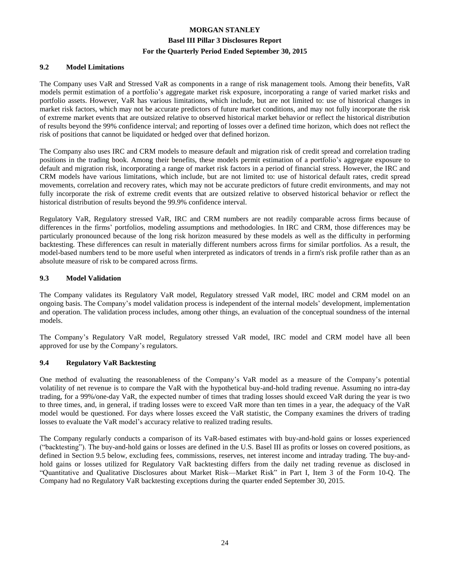#### **9.2 Model Limitations**

The Company uses VaR and Stressed VaR as components in a range of risk management tools. Among their benefits, VaR models permit estimation of a portfolio's aggregate market risk exposure, incorporating a range of varied market risks and portfolio assets. However, VaR has various limitations, which include, but are not limited to: use of historical changes in market risk factors, which may not be accurate predictors of future market conditions, and may not fully incorporate the risk of extreme market events that are outsized relative to observed historical market behavior or reflect the historical distribution of results beyond the 99% confidence interval; and reporting of losses over a defined time horizon, which does not reflect the risk of positions that cannot be liquidated or hedged over that defined horizon.

The Company also uses IRC and CRM models to measure default and migration risk of credit spread and correlation trading positions in the trading book. Among their benefits, these models permit estimation of a portfolio's aggregate exposure to default and migration risk, incorporating a range of market risk factors in a period of financial stress. However, the IRC and CRM models have various limitations, which include, but are not limited to: use of historical default rates, credit spread movements, correlation and recovery rates, which may not be accurate predictors of future credit environments, and may not fully incorporate the risk of extreme credit events that are outsized relative to observed historical behavior or reflect the historical distribution of results beyond the 99.9% confidence interval.

Regulatory VaR, Regulatory stressed VaR, IRC and CRM numbers are not readily comparable across firms because of differences in the firms' portfolios, modeling assumptions and methodologies. In IRC and CRM, those differences may be particularly pronounced because of the long risk horizon measured by these models as well as the difficulty in performing backtesting. These differences can result in materially different numbers across firms for similar portfolios. As a result, the model-based numbers tend to be more useful when interpreted as indicators of trends in a firm's risk profile rather than as an absolute measure of risk to be compared across firms.

#### **9.3 Model Validation**

The Company validates its Regulatory VaR model, Regulatory stressed VaR model, IRC model and CRM model on an ongoing basis. The Company's model validation process is independent of the internal models' development, implementation and operation. The validation process includes, among other things, an evaluation of the conceptual soundness of the internal models.

The Company's Regulatory VaR model, Regulatory stressed VaR model, IRC model and CRM model have all been approved for use by the Company's regulators.

#### **9.4 Regulatory VaR Backtesting**

One method of evaluating the reasonableness of the Company's VaR model as a measure of the Company's potential volatility of net revenue is to compare the VaR with the hypothetical buy-and-hold trading revenue. Assuming no intra-day trading, for a 99%/one-day VaR, the expected number of times that trading losses should exceed VaR during the year is two to three times, and, in general, if trading losses were to exceed VaR more than ten times in a year, the adequacy of the VaR model would be questioned. For days where losses exceed the VaR statistic, the Company examines the drivers of trading losses to evaluate the VaR model's accuracy relative to realized trading results.

The Company regularly conducts a comparison of its VaR-based estimates with buy-and-hold gains or losses experienced ("backtesting"). The buy-and-hold gains or losses are defined in the U.S. Basel III as profits or losses on covered positions, as defined in Section 9.5 below, excluding fees, commissions, reserves, net interest income and intraday trading. The buy-andhold gains or losses utilized for Regulatory VaR backtesting differs from the daily net trading revenue as disclosed in "Quantitative and Qualitative Disclosures about Market Risk—Market Risk" in Part I, Item 3 of the Form 10-Q. The Company had no Regulatory VaR backtesting exceptions during the quarter ended September 30, 2015.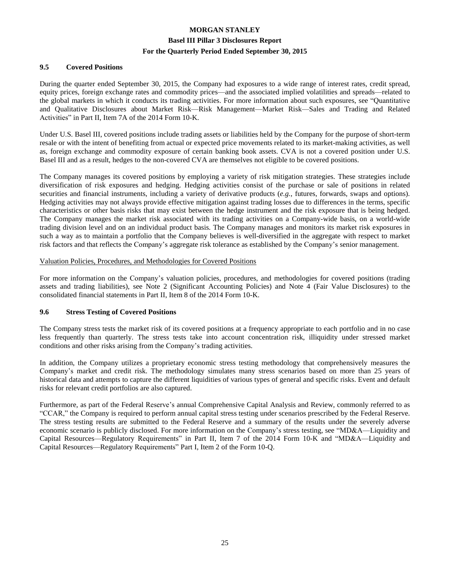#### **9.5 Covered Positions**

During the quarter ended September 30, 2015, the Company had exposures to a wide range of interest rates, credit spread, equity prices, foreign exchange rates and commodity prices—and the associated implied volatilities and spreads—related to the global markets in which it conducts its trading activities. For more information about such exposures, see "Quantitative and Qualitative Disclosures about Market Risk—Risk Management—Market Risk—Sales and Trading and Related Activities" in Part II, Item 7A of the 2014 Form 10-K.

Under U.S. Basel III, covered positions include trading assets or liabilities held by the Company for the purpose of short-term resale or with the intent of benefiting from actual or expected price movements related to its market-making activities, as well as, foreign exchange and commodity exposure of certain banking book assets. CVA is not a covered position under U.S. Basel III and as a result, hedges to the non-covered CVA are themselves not eligible to be covered positions.

The Company manages its covered positions by employing a variety of risk mitigation strategies. These strategies include diversification of risk exposures and hedging. Hedging activities consist of the purchase or sale of positions in related securities and financial instruments, including a variety of derivative products (*e.g.*, futures, forwards, swaps and options). Hedging activities may not always provide effective mitigation against trading losses due to differences in the terms, specific characteristics or other basis risks that may exist between the hedge instrument and the risk exposure that is being hedged. The Company manages the market risk associated with its trading activities on a Company-wide basis, on a world-wide trading division level and on an individual product basis. The Company manages and monitors its market risk exposures in such a way as to maintain a portfolio that the Company believes is well-diversified in the aggregate with respect to market risk factors and that reflects the Company's aggregate risk tolerance as established by the Company's senior management.

#### Valuation Policies, Procedures, and Methodologies for Covered Positions

For more information on the Company's valuation policies, procedures, and methodologies for covered positions (trading assets and trading liabilities), see Note 2 (Significant Accounting Policies) and Note 4 (Fair Value Disclosures) to the consolidated financial statements in Part II, Item 8 of the 2014 Form 10-K.

#### **9.6 Stress Testing of Covered Positions**

The Company stress tests the market risk of its covered positions at a frequency appropriate to each portfolio and in no case less frequently than quarterly. The stress tests take into account concentration risk, illiquidity under stressed market conditions and other risks arising from the Company's trading activities.

In addition, the Company utilizes a proprietary economic stress testing methodology that comprehensively measures the Company's market and credit risk. The methodology simulates many stress scenarios based on more than 25 years of historical data and attempts to capture the different liquidities of various types of general and specific risks. Event and default risks for relevant credit portfolios are also captured.

Furthermore, as part of the Federal Reserve's annual Comprehensive Capital Analysis and Review, commonly referred to as "CCAR," the Company is required to perform annual capital stress testing under scenarios prescribed by the Federal Reserve. The stress testing results are submitted to the Federal Reserve and a summary of the results under the severely adverse economic scenario is publicly disclosed. For more information on the Company's stress testing, see "MD&A—Liquidity and Capital Resources—Regulatory Requirements" in Part II, Item 7 of the 2014 Form 10-K and "MD&A—Liquidity and Capital Resources—Regulatory Requirements" Part I, Item 2 of the Form 10-Q.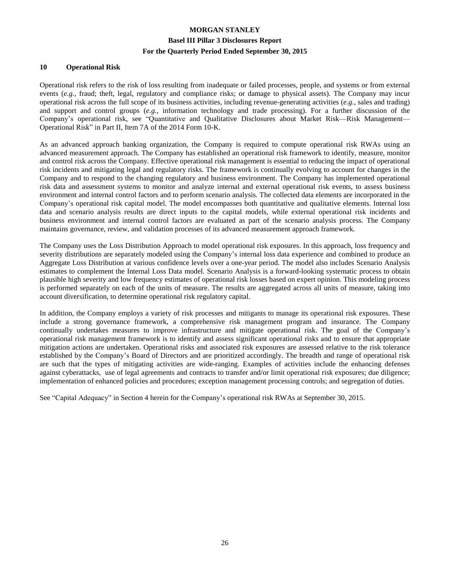#### **10 Operational Risk**

Operational risk refers to the risk of loss resulting from inadequate or failed processes, people, and systems or from external events (*e.g.*, fraud; theft, legal, regulatory and compliance risks; or damage to physical assets). The Company may incur operational risk across the full scope of its business activities, including revenue-generating activities (*e.g.*, sales and trading) and support and control groups (*e.g.*, information technology and trade processing). For a further discussion of the Company's operational risk, see "Quantitative and Qualitative Disclosures about Market Risk—Risk Management— Operational Risk" in Part II, Item 7A of the 2014 Form 10-K.

As an advanced approach banking organization, the Company is required to compute operational risk RWAs using an advanced measurement approach. The Company has established an operational risk framework to identify, measure, monitor and control risk across the Company. Effective operational risk management is essential to reducing the impact of operational risk incidents and mitigating legal and regulatory risks. The framework is continually evolving to account for changes in the Company and to respond to the changing regulatory and business environment. The Company has implemented operational risk data and assessment systems to monitor and analyze internal and external operational risk events, to assess business environment and internal control factors and to perform scenario analysis. The collected data elements are incorporated in the Company's operational risk capital model. The model encompasses both quantitative and qualitative elements. Internal loss data and scenario analysis results are direct inputs to the capital models, while external operational risk incidents and business environment and internal control factors are evaluated as part of the scenario analysis process. The Company maintains governance, review, and validation processes of its advanced measurement approach framework.

The Company uses the Loss Distribution Approach to model operational risk exposures. In this approach, loss frequency and severity distributions are separately modeled using the Company's internal loss data experience and combined to produce an Aggregate Loss Distribution at various confidence levels over a one-year period. The model also includes Scenario Analysis estimates to complement the Internal Loss Data model. Scenario Analysis is a forward-looking systematic process to obtain plausible high severity and low frequency estimates of operational risk losses based on expert opinion. This modeling process is performed separately on each of the units of measure. The results are aggregated across all units of measure, taking into account diversification, to determine operational risk regulatory capital.

In addition, the Company employs a variety of risk processes and mitigants to manage its operational risk exposures. These include a strong governance framework, a comprehensive risk management program and insurance. The Company continually undertakes measures to improve infrastructure and mitigate operational risk. The goal of the Company's operational risk management framework is to identify and assess significant operational risks and to ensure that appropriate mitigation actions are undertaken. Operational risks and associated risk exposures are assessed relative to the risk tolerance established by the Company's Board of Directors and are prioritized accordingly. The breadth and range of operational risk are such that the types of mitigating activities are wide-ranging. Examples of activities include the enhancing defenses against cyberattacks, use of legal agreements and contracts to transfer and/or limit operational risk exposures; due diligence; implementation of enhanced policies and procedures; exception management processing controls; and segregation of duties.

See "Capital Adequacy" in Section 4 herein for the Company's operational risk RWAs at September 30, 2015.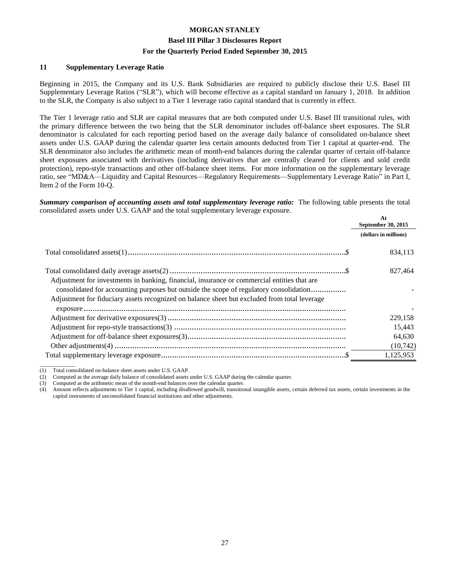#### **Basel III Pillar 3 Disclosures Report**

#### **For the Quarterly Period Ended September 30, 2015**

#### **11 Supplementary Leverage Ratio**

Beginning in 2015, the Company and its U.S. Bank Subsidiaries are required to publicly disclose their U.S. Basel III Supplementary Leverage Ratios ("SLR"), which will become effective as a capital standard on January 1, 2018. In addition to the SLR, the Company is also subject to a Tier 1 leverage ratio capital standard that is currently in effect.

The Tier 1 leverage ratio and SLR are capital measures that are both computed under U.S. Basel III transitional rules, with the primary difference between the two being that the SLR denominator includes off-balance sheet exposures. The SLR denominator is calculated for each reporting period based on the average daily balance of consolidated on-balance sheet assets under U.S. GAAP during the calendar quarter less certain amounts deducted from Tier 1 capital at quarter-end. The SLR denominator also includes the arithmetic mean of month-end balances during the calendar quarter of certain off-balance sheet exposures associated with derivatives (including derivatives that are centrally cleared for clients and sold credit protection), repo-style transactions and other off-balance sheet items. For more information on the supplementary leverage ratio, see "MD&A—Liquidity and Capital Resources—Regulatory Requirements—Supplementary Leverage Ratio" in Part I, Item 2 of the Form 10-Q.

*Summary comparison of accounting assets and total supplementary leverage ratio:* The following table presents the total consolidated assets under U.S. GAAP and the total supplementary leverage exposure.

|                                                                                                                                                                                                                                                                                       | At<br>September 30, 2015 |  |
|---------------------------------------------------------------------------------------------------------------------------------------------------------------------------------------------------------------------------------------------------------------------------------------|--------------------------|--|
|                                                                                                                                                                                                                                                                                       | (dollars in millions)    |  |
|                                                                                                                                                                                                                                                                                       | 834,113                  |  |
| Adjustment for investments in banking, financial, insurance or commercial entities that are<br>consolidated for accounting purposes but outside the scope of regulatory consolidation<br>Adjustment for fiduciary assets recognized on balance sheet but excluded from total leverage | 827,464                  |  |
|                                                                                                                                                                                                                                                                                       |                          |  |
|                                                                                                                                                                                                                                                                                       | 229,158                  |  |
|                                                                                                                                                                                                                                                                                       | 15,443                   |  |
|                                                                                                                                                                                                                                                                                       | 64,630                   |  |
|                                                                                                                                                                                                                                                                                       | (10,742)                 |  |
|                                                                                                                                                                                                                                                                                       | 1,125,953                |  |

(1) Total consolidated on-balance sheet assets under U.S. GAAP.

\_\_\_\_\_\_\_\_\_\_\_\_\_

(4) Amount reflects adjustments to Tier 1 capital, including disallowed goodwill, transitional intangible assets, certain deferred tax assets, certain investments in the capital instruments of unconsolidated financial institutions and other adjustments.

<sup>(2)</sup> Computed as the average daily balance of consolidated assets under U.S. GAAP during the calendar quarter.

<sup>(3)</sup> Computed as the arithmetic mean of the month-end balances over the calendar quarter.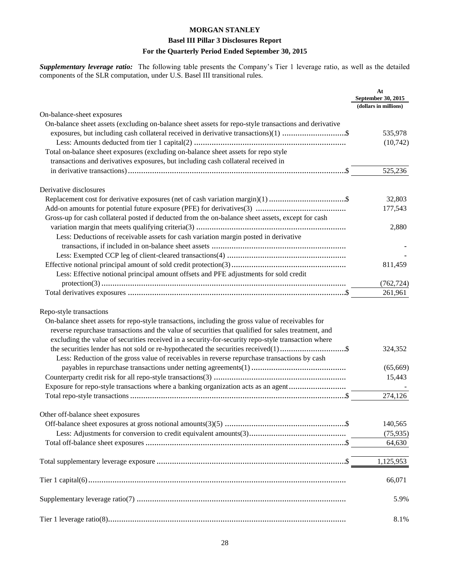#### **Basel III Pillar 3 Disclosures Report**

#### **For the Quarterly Period Ended September 30, 2015**

*Supplementary leverage ratio:* The following table presents the Company's Tier 1 leverage ratio, as well as the detailed components of the SLR computation, under U.S. Basel III transitional rules.

|                                                                                                       | At<br>September 30, 2015<br>(dollars in millions) |
|-------------------------------------------------------------------------------------------------------|---------------------------------------------------|
| On-balance-sheet exposures                                                                            |                                                   |
| On-balance sheet assets (excluding on-balance sheet assets for repo-style transactions and derivative |                                                   |
| exposures, but including cash collateral received in derivative transactions)(1) \$                   | 535,978                                           |
|                                                                                                       | (10,742)                                          |
| Total on-balance sheet exposures (excluding on-balance sheet assets for repo style                    |                                                   |
| transactions and derivatives exposures, but including cash collateral received in                     |                                                   |
|                                                                                                       | 525,236                                           |
| Derivative disclosures                                                                                |                                                   |
|                                                                                                       | 32,803                                            |
|                                                                                                       | 177,543                                           |
| Gross-up for cash collateral posted if deducted from the on-balance sheet assets, except for cash     |                                                   |
|                                                                                                       | 2,880                                             |
| Less: Deductions of receivable assets for cash variation margin posted in derivative                  |                                                   |
|                                                                                                       |                                                   |
|                                                                                                       |                                                   |
|                                                                                                       |                                                   |
|                                                                                                       | 811,459                                           |
| Less: Effective notional principal amount offsets and PFE adjustments for sold credit                 |                                                   |
|                                                                                                       | (762, 724)                                        |
|                                                                                                       | 261,961                                           |
| Repo-style transactions                                                                               |                                                   |
| On-balance sheet assets for repo-style transactions, including the gross value of receivables for     |                                                   |
| reverse repurchase transactions and the value of securities that qualified for sales treatment, and   |                                                   |
| excluding the value of securities received in a security-for-security repo-style transaction where    |                                                   |
|                                                                                                       | 324,352                                           |
| Less: Reduction of the gross value of receivables in reverse repurchase transactions by cash          |                                                   |
|                                                                                                       | (65,669)                                          |
|                                                                                                       | 15,443                                            |
| Exposure for repo-style transactions where a banking organization acts as an agent                    |                                                   |
|                                                                                                       | 274,126                                           |
|                                                                                                       |                                                   |
| Other off-balance sheet exposures                                                                     |                                                   |
|                                                                                                       | 140,565                                           |
|                                                                                                       | (75, 935)                                         |
|                                                                                                       | 64,630                                            |
|                                                                                                       | 1,125,953                                         |
|                                                                                                       | 66,071                                            |
|                                                                                                       | 5.9%                                              |
|                                                                                                       | 8.1%                                              |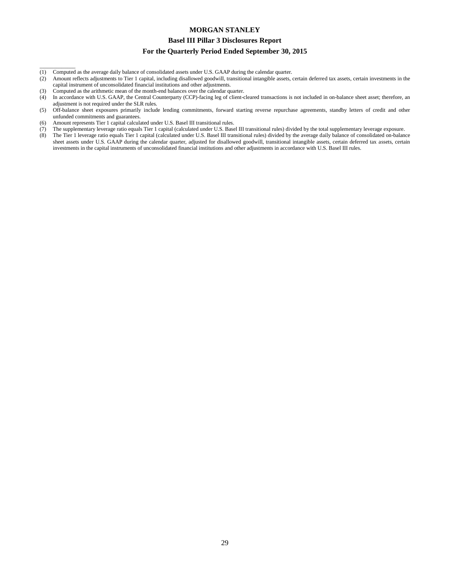#### **Basel III Pillar 3 Disclosures Report**

#### **For the Quarterly Period Ended September 30, 2015**

- (1) Computed as the average daily balance of consolidated assets under U.S. GAAP during the calendar quarter.
- (2) Amount reflects adjustments to Tier 1 capital, including disallowed goodwill, transitional intangible assets, certain deferred tax assets, certain investments in the capital instrument of unconsolidated financial institutions and other adjustments.
- (3) Computed as the arithmetic mean of the month-end balances over the calendar quarter.

\_\_\_\_\_\_\_\_\_\_\_\_\_

- (4) In accordance with U.S. GAAP, the Central Counterparty (CCP)-facing leg of client-cleared transactions is not included in on-balance sheet asset; therefore, an adjustment is not required under the SLR rules.
- (5) Off-balance sheet exposures primarily include lending commitments, forward starting reverse repurchase agreements, standby letters of credit and other unfunded commitments and guarantees.
- (6) Amount represents Tier 1 capital calculated under U.S. Basel III transitional rules.
- (7) The supplementary leverage ratio equals Tier 1 capital (calculated under U.S. Basel III transitional rules) divided by the total supplementary leverage exposure.
- (8) The Tier 1 leverage ratio equals Tier 1 capital (calculated under U.S. Basel III transitional rules) divided by the average daily balance of consolidated on-balance sheet assets under U.S. GAAP during the calendar quarter, adjusted for disallowed goodwill, transitional intangible assets, certain deferred tax assets, certain investments in the capital instruments of unconsolidated financial institutions and other adjustments in accordance with U.S. Basel III rules.